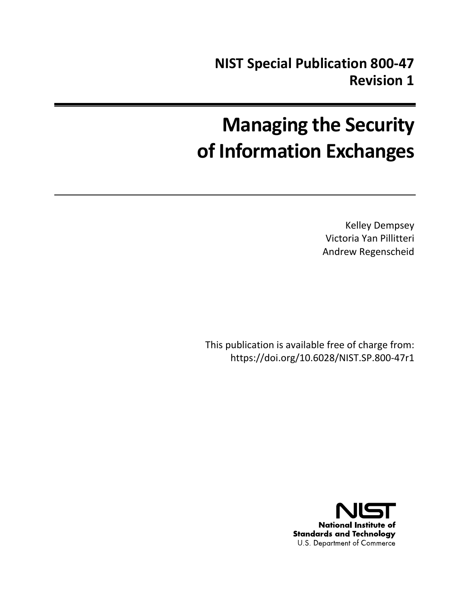# **Managing the Security of Information Exchanges**

Kelley Dempsey Victoria Yan Pillitteri Andrew Regenscheid

This publication is available free of charge from: https://doi.org/10.6028/NIST.SP.800-47r1

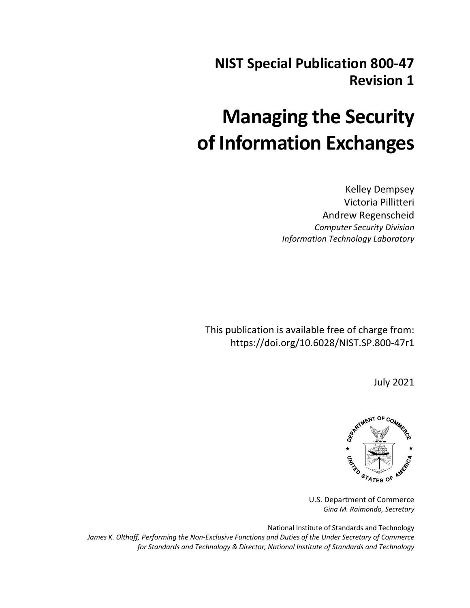## **NIST Special Publication 800-47 Revision 1**

## **Managing the Security of Information Exchanges**

Kelley Dempsey Victoria Pillitteri Andrew Regenscheid *Computer Security Division Information Technology Laboratory*

This publication is available free of charge from: https://doi.org/10.6028/NIST.SP.800-47r1

July 2021



U.S. Department of Commerce *Gina M. Raimondo, Secretary*

National Institute of Standards and Technology *James K. Olthoff, Performing the Non-Exclusive Functions and Duties of the Under Secretary of Commerce for Standards and Technology & Director, National Institute of Standards and Technology*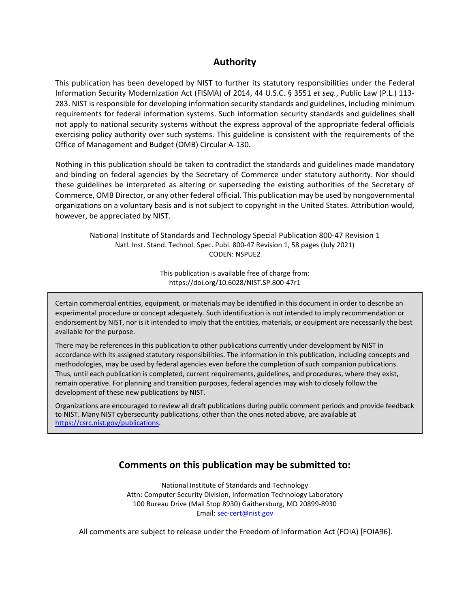## **Authority**

This publication has been developed by NIST to further its statutory responsibilities under the Federal Information Security Modernization Act (FISMA) of 2014, 44 U.S.C. § 3551 *et seq.*, Public Law (P.L.) 113- 283. NIST is responsible for developing information security standards and guidelines, including minimum requirements for federal information systems. Such information security standards and guidelines shall not apply to national security systems without the express approval of the appropriate federal officials exercising policy authority over such systems. This guideline is consistent with the requirements of the Office of Management and Budget (OMB) Circular A-130.

Nothing in this publication should be taken to contradict the standards and guidelines made mandatory and binding on federal agencies by the Secretary of Commerce under statutory authority. Nor should these guidelines be interpreted as altering or superseding the existing authorities of the Secretary of Commerce, OMB Director, or any other federal official. This publication may be used by nongovernmental organizations on a voluntary basis and is not subject to copyright in the United States. Attribution would, however, be appreciated by NIST.

National Institute of Standards and Technology Special Publication 800-47 Revision 1 Natl. Inst. Stand. Technol. Spec. Publ. 800-47 Revision 1, 58 pages (July 2021) CODEN: NSPUE2

> This publication is available free of charge from: https://doi.org/10.6028/NIST.SP.800-47r1

Certain commercial entities, equipment, or materials may be identified in this document in order to describe an experimental procedure or concept adequately. Such identification is not intended to imply recommendation or endorsement by NIST, nor is it intended to imply that the entities, materials, or equipment are necessarily the best available for the purpose.

There may be references in this publication to other publications currently under development by NIST in accordance with its assigned statutory responsibilities. The information in this publication, including concepts and methodologies, may be used by federal agencies even before the completion of such companion publications. Thus, until each publication is completed, current requirements, guidelines, and procedures, where they exist, remain operative. For planning and transition purposes, federal agencies may wish to closely follow the development of these new publications by NIST.

Organizations are encouraged to review all draft publications during public comment periods and provide feedback to NIST. Many NIST cybersecurity publications, other than the ones noted above, are available at [https://csrc.nist.gov/publications.](https://csrc.nist.gov/publications)

## **Comments on this publication may be submitted to:**

National Institute of Standards and Technology Attn: Computer Security Division, Information Technology Laboratory 100 Bureau Drive (Mail Stop 8930) Gaithersburg, MD 20899-8930 Email: [sec-cert@nist.gov](mailto:sec-cert@nist.gov)

All comments are subject to release under the Freedom of Information Act (FOIA) [FOIA96].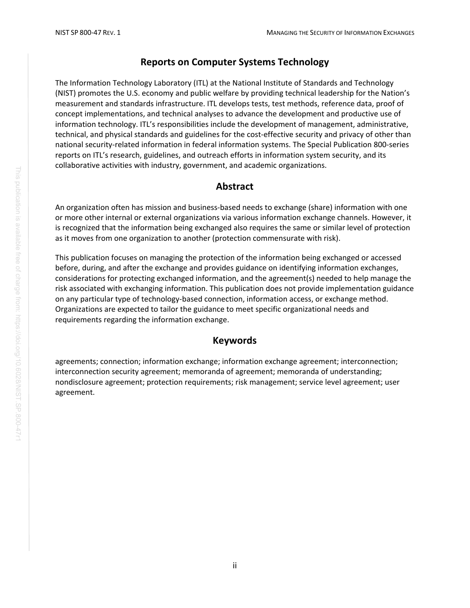## **Reports on Computer Systems Technology**

The Information Technology Laboratory (ITL) at the National Institute of Standards and Technology (NIST) promotes the U.S. economy and public welfare by providing technical leadership for the Nation's measurement and standards infrastructure. ITL develops tests, test methods, reference data, proof of concept implementations, and technical analyses to advance the development and productive use of information technology. ITL's responsibilities include the development of management, administrative, technical, and physical standards and guidelines for the cost-effective security and privacy of other than national security-related information in federal information systems. The Special Publication 800-series reports on ITL's research, guidelines, and outreach efforts in information system security, and its collaborative activities with industry, government, and academic organizations.

## **Abstract**

An organization often has mission and business-based needs to exchange (share) information with one or more other internal or external organizations via various information exchange channels. However, it is recognized that the information being exchanged also requires the same or similar level of protection as it moves from one organization to another (protection commensurate with risk).

This publication focuses on managing the protection of the information being exchanged or accessed before, during, and after the exchange and provides guidance on identifying information exchanges, considerations for protecting exchanged information, and the agreement(s) needed to help manage the risk associated with exchanging information. This publication does not provide implementation guidance on any particular type of technology-based connection, information access, or exchange method. Organizations are expected to tailor the guidance to meet specific organizational needs and requirements regarding the information exchange.

## **Keywords**

agreements; connection; information exchange; information exchange agreement; interconnection; interconnection security agreement; memoranda of agreement; memoranda of understanding; nondisclosure agreement; protection requirements; risk management; service level agreement; user agreement.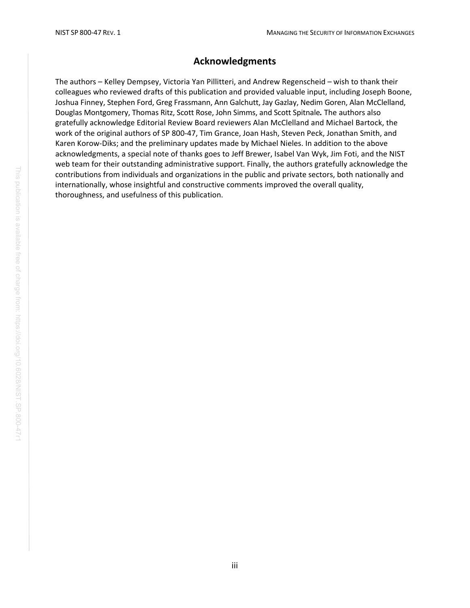## **Acknowledgments**

The authors – Kelley Dempsey, Victoria Yan Pillitteri, and Andrew Regenscheid – wish to thank their colleagues who reviewed drafts of this publication and provided valuable input, including Joseph Boone, Joshua Finney, Stephen Ford, Greg Frassmann, Ann Galchutt, Jay Gazlay, Nedim Goren, Alan McClelland, Douglas Montgomery, Thomas Ritz, Scott Rose, John Simms, and Scott Spitnale*.* The authors also gratefully acknowledge Editorial Review Board reviewers Alan McClelland and Michael Bartock, the work of the original authors of SP 800-47, Tim Grance, Joan Hash, Steven Peck, Jonathan Smith, and Karen Korow-Diks; and the preliminary updates made by Michael Nieles. In addition to the above acknowledgments, a special note of thanks goes to Jeff Brewer, Isabel Van Wyk, Jim Foti, and the NIST web team for their outstanding administrative support. Finally, the authors gratefully acknowledge the contributions from individuals and organizations in the public and private sectors, both nationally and internationally, whose insightful and constructive comments improved the overall quality, thoroughness, and usefulness of this publication.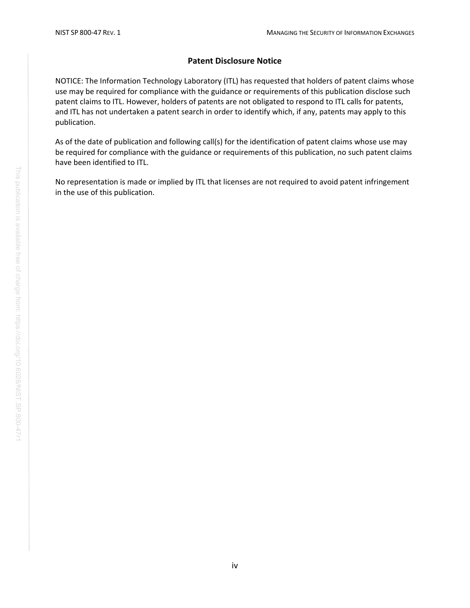#### **Patent Disclosure Notice**

NOTICE: The Information Technology Laboratory (ITL) has requested that holders of patent claims whose use may be required for compliance with the guidance or requirements of this publication disclose such patent claims to ITL. However, holders of patents are not obligated to respond to ITL calls for patents, and ITL has not undertaken a patent search in order to identify which, if any, patents may apply to this publication.

As of the date of publication and following call(s) for the identification of patent claims whose use may be required for compliance with the guidance or requirements of this publication, no such patent claims have been identified to ITL.

No representation is made or implied by ITL that licenses are not required to avoid patent infringement in the use of this publication.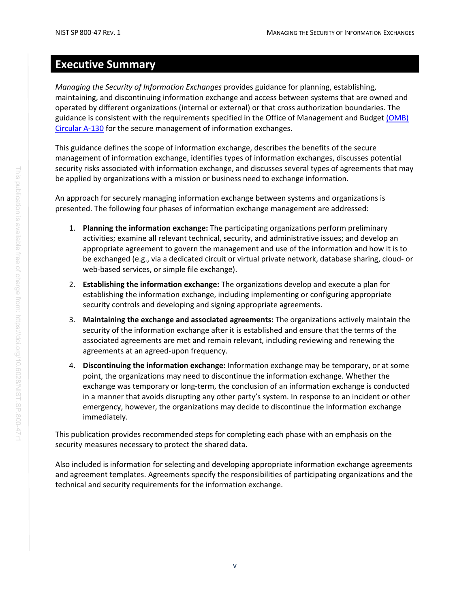## <span id="page-6-0"></span>**Executive Summary**

*Managing the Security of Information Exchanges* provides guidance for planning, establishing, maintaining, and discontinuing information exchange and access between systems that are owned and operated by different organizations (internal or external) or that cross authorization boundaries. The guidance is consistent with the requirements specified in the Office of Management and Budget (OMB) [Circular A-130](#page-40-0) for the secure management of information exchanges.

This guidance defines the scope of information exchange, describes the benefits of the secure management of information exchange, identifies types of information exchanges, discusses potential security risks associated with information exchange, and discusses several types of agreements that may be applied by organizations with a mission or business need to exchange information.

An approach for securely managing information exchange between systems and organizations is presented. The following four phases of information exchange management are addressed:

- 1. **Planning the information exchange:** The participating organizations perform preliminary activities; examine all relevant technical, security, and administrative issues; and develop an appropriate agreement to govern the management and use of the information and how it is to be exchanged (e.g., via a dedicated circuit or virtual private network, database sharing, cloud- or web-based services, or simple file exchange).
- 2. **Establishing the information exchange:** The organizations develop and execute a plan for establishing the information exchange, including implementing or configuring appropriate security controls and developing and signing appropriate agreements.
- 3. **Maintaining the exchange and associated agreements:** The organizations actively maintain the security of the information exchange after it is established and ensure that the terms of the associated agreements are met and remain relevant, including reviewing and renewing the agreements at an agreed-upon frequency.
- 4. **Discontinuing the information exchange:** Information exchange may be temporary, or at some point, the organizations may need to discontinue the information exchange. Whether the exchange was temporary or long-term, the conclusion of an information exchange is conducted in a manner that avoids disrupting any other party's system. In response to an incident or other emergency, however, the organizations may decide to discontinue the information exchange immediately.

This publication provides recommended steps for completing each phase with an emphasis on the security measures necessary to protect the shared data.

Also included is information for selecting and developing appropriate information exchange agreements and agreement templates. Agreements specify the responsibilities of participating organizations and the technical and security requirements for the information exchange.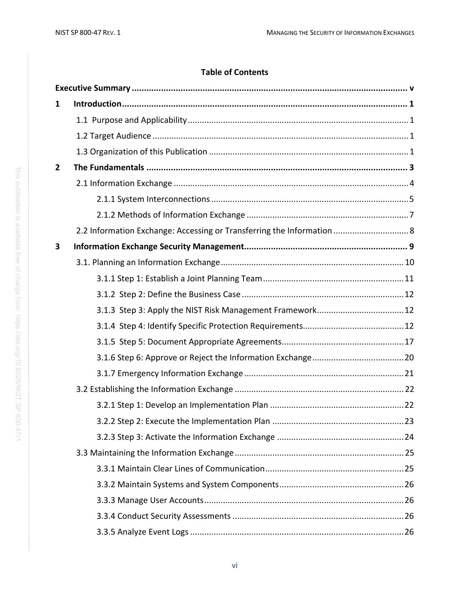## **Table of Contents**

| 1            |                                                                        |  |  |
|--------------|------------------------------------------------------------------------|--|--|
|              |                                                                        |  |  |
|              |                                                                        |  |  |
|              |                                                                        |  |  |
| $\mathbf{2}$ |                                                                        |  |  |
|              |                                                                        |  |  |
|              |                                                                        |  |  |
|              |                                                                        |  |  |
|              | 2.2 Information Exchange: Accessing or Transferring the Information  8 |  |  |
| 3            |                                                                        |  |  |
|              |                                                                        |  |  |
|              |                                                                        |  |  |
|              |                                                                        |  |  |
|              |                                                                        |  |  |
|              |                                                                        |  |  |
|              |                                                                        |  |  |
|              |                                                                        |  |  |
|              |                                                                        |  |  |
|              |                                                                        |  |  |
|              |                                                                        |  |  |
|              |                                                                        |  |  |
|              |                                                                        |  |  |
|              |                                                                        |  |  |
|              |                                                                        |  |  |
|              |                                                                        |  |  |
|              |                                                                        |  |  |
|              |                                                                        |  |  |
|              |                                                                        |  |  |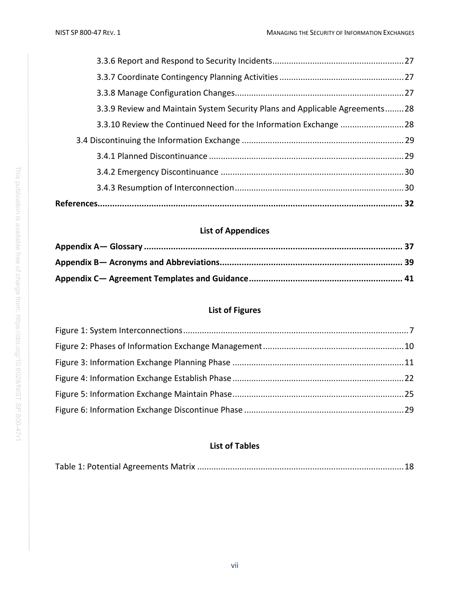| 3.3.9 Review and Maintain System Security Plans and Applicable Agreements28 |  |
|-----------------------------------------------------------------------------|--|
|                                                                             |  |
|                                                                             |  |
|                                                                             |  |

## **List of Appendices**

## **List of Figures**

## **List of Tables**

|--|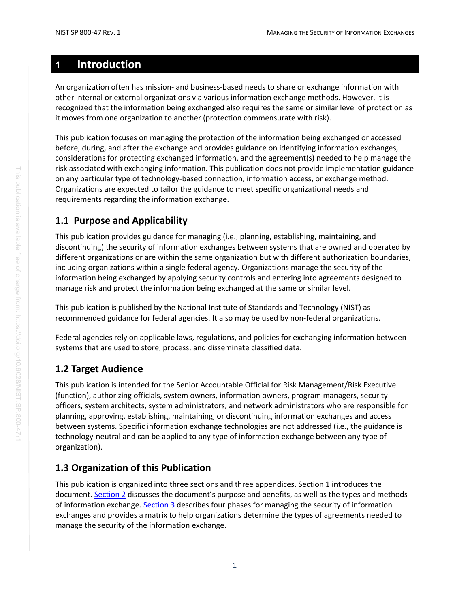## <span id="page-9-0"></span>**1 Introduction**

An organization often has mission- and business-based needs to share or exchange information with other internal or external organizations via various information exchange methods. However, it is recognized that the information being exchanged also requires the same or similar level of protection as it moves from one organization to another (protection commensurate with risk).

This publication focuses on managing the protection of the information being exchanged or accessed before, during, and after the exchange and provides guidance on identifying information exchanges, considerations for protecting exchanged information, and the agreement(s) needed to help manage the risk associated with exchanging information. This publication does not provide implementation guidance on any particular type of technology-based connection, information access, or exchange method. Organizations are expected to tailor the guidance to meet specific organizational needs and requirements regarding the information exchange.

## <span id="page-9-1"></span>**1.1 Purpose and Applicability**

This publication provides guidance for managing (i.e., planning, establishing, maintaining, and discontinuing) the security of information exchanges between systems that are owned and operated by different organizations or are within the same organization but with different authorization boundaries, including organizations within a single federal agency. Organizations manage the security of the information being exchanged by applying security controls and entering into agreements designed to manage risk and protect the information being exchanged at the same or similar level.

This publication is published by the National Institute of Standards and Technology (NIST) as recommended guidance for federal agencies. It also may be used by non-federal organizations.

Federal agencies rely on applicable laws, regulations, and policies for exchanging information between systems that are used to store, process, and disseminate classified data.

## <span id="page-9-2"></span>**1.2 Target Audience**

This publication is intended for the Senior Accountable Official for Risk Management/Risk Executive (function), authorizing officials, system owners, information owners, program managers, security officers, system architects, system administrators, and network administrators who are responsible for planning, approving, establishing, maintaining, or discontinuing information exchanges and access between systems. Specific information exchange technologies are not addressed (i.e., the guidance is technology-neutral and can be applied to any type of information exchange between any type of organization).

## <span id="page-9-3"></span>**1.3 Organization of this Publication**

This publication is organized into three sections and three appendices. Section 1 introduces the document. [Section 2](#page-11-0) discusses the document's purpose and benefits, as well as the types and methods of information exchange. [Section 3](#page-17-0) describes four phases for managing the security of information exchanges and provides a matrix to help organizations determine the types of agreements needed to manage the security of the information exchange.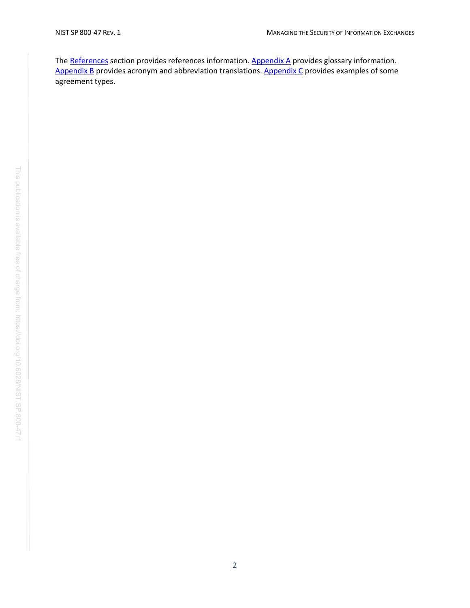The [References](#page-40-1) section provides references information. [Appendix A](#page-44-0) provides glossary information. [Appendix B](#page-47-0) provides acronym and abbreviation translations. [Appendix C](#page-49-0) provides examples of some agreement types.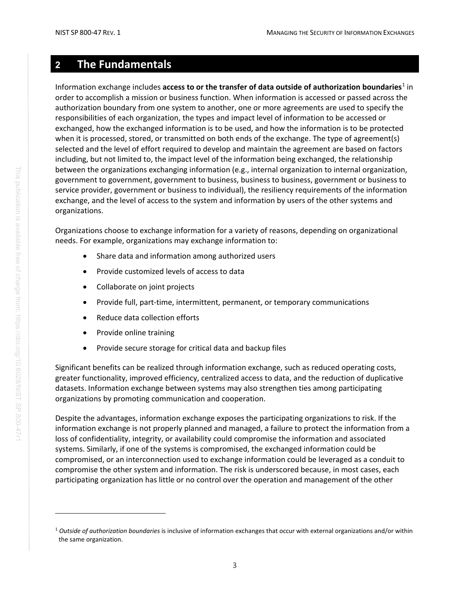## <span id="page-11-0"></span>**2 The Fundamentals**

Information exchange includes **access to or the transfer of data outside of authorization boundaries**<sup>[1](#page-11-1)</sup> in order to accomplish a mission or business function. When information is accessed or passed across the authorization boundary from one system to another, one or more agreements are used to specify the responsibilities of each organization, the types and impact level of information to be accessed or exchanged, how the exchanged information is to be used, and how the information is to be protected when it is processed, stored, or transmitted on both ends of the exchange. The type of agreement(s) selected and the level of effort required to develop and maintain the agreement are based on factors including, but not limited to, the impact level of the information being exchanged, the relationship between the organizations exchanging information (e.g., internal organization to internal organization, government to government, government to business, business to business, government or business to service provider, government or business to individual), the resiliency requirements of the information exchange, and the level of access to the system and information by users of the other systems and organizations.

Organizations choose to exchange information for a variety of reasons, depending on organizational needs. For example, organizations may exchange information to:

- Share data and information among authorized users
- Provide customized levels of access to data
- Collaborate on joint projects
- Provide full, part-time, intermittent, permanent, or temporary communications
- Reduce data collection efforts
- Provide online training
- Provide secure storage for critical data and backup files

Significant benefits can be realized through information exchange, such as reduced operating costs, greater functionality, improved efficiency, centralized access to data, and the reduction of duplicative datasets. Information exchange between systems may also strengthen ties among participating organizations by promoting communication and cooperation.

Despite the advantages, information exchange exposes the participating organizations to risk. If the information exchange is not properly planned and managed, a failure to protect the information from a loss of confidentiality, integrity, or availability could compromise the information and associated systems. Similarly, if one of the systems is compromised, the exchanged information could be compromised, or an interconnection used to exchange information could be leveraged as a conduit to compromise the other system and information. The risk is underscored because, in most cases, each participating organization has little or no control over the operation and management of the other

<span id="page-11-1"></span><sup>1</sup> *Outside of authorization boundaries* is inclusive of information exchanges that occur with external organizations and/or within the same organization.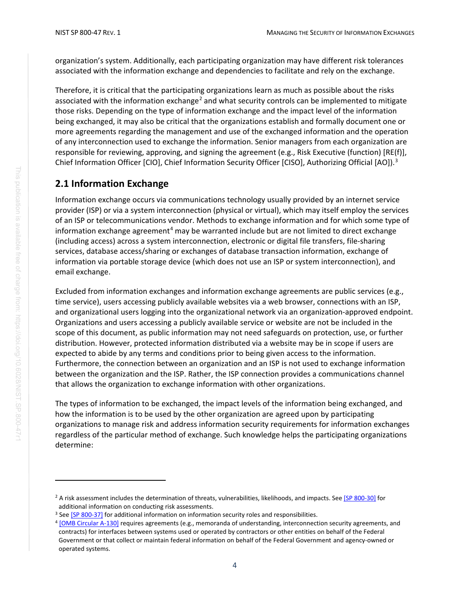organization's system. Additionally, each participating organization may have different risk tolerances associated with the information exchange and dependencies to facilitate and rely on the exchange.

Therefore, it is critical that the participating organizations learn as much as possible about the risks associated with the information exchange<sup>[2](#page-12-1)</sup> and what security controls can be implemented to mitigate those risks. Depending on the type of information exchange and the impact level of the information being exchanged, it may also be critical that the organizations establish and formally document one or more agreements regarding the management and use of the exchanged information and the operation of any interconnection used to exchange the information. Senior managers from each organization are responsible for reviewing, approving, and signing the agreement (e.g., Risk Executive (function) [RE(f)], Chief Information Officer [CIO], Chief Information Security Officer [CISO], Authorizing Official [AO]).<sup>[3](#page-12-2)</sup>

## <span id="page-12-0"></span>**2.1 Information Exchange**

Information exchange occurs via communications technology usually provided by an internet service provider (ISP) or via a system interconnection (physical or virtual), which may itself employ the services of an ISP or telecommunications vendor. Methods to exchange information and for which some type of information exchange agreement<sup>[4](#page-12-3)</sup> may be warranted include but are not limited to direct exchange (including access) across a system interconnection, electronic or digital file transfers, file-sharing services, database access/sharing or exchanges of database transaction information, exchange of information via portable storage device (which does not use an ISP or system interconnection), and email exchange.

Excluded from information exchanges and information exchange agreements are public services (e.g., time service), users accessing publicly available websites via a web browser, connections with an ISP, and organizational users logging into the organizational network via an organization-approved endpoint. Organizations and users accessing a publicly available service or website are not be included in the scope of this document, as public information may not need safeguards on protection, use, or further distribution. However, protected information distributed via a website may be in scope if users are expected to abide by any terms and conditions prior to being given access to the information. Furthermore, the connection between an organization and an ISP is not used to exchange information between the organization and the ISP. Rather, the ISP connection provides a communications channel that allows the organization to exchange information with other organizations.

The types of information to be exchanged, the impact levels of the information being exchanged, and how the information is to be used by the other organization are agreed upon by participating organizations to manage risk and address information security requirements for information exchanges regardless of the particular method of exchange. Such knowledge helps the participating organizations determine:

<span id="page-12-1"></span><sup>&</sup>lt;sup>2</sup> A risk assessment includes the determination of threats, vulnerabilities, likelihoods, and impacts. See [\[SP 800-30\]](#page-40-2) for additional information on conducting risk assessments.<br><sup>3</sup> Se[e \[SP 800-37\]](#page-41-0) for additional information on information security roles and responsibilities.

<span id="page-12-2"></span>

<span id="page-12-3"></span><sup>&</sup>lt;sup>4</sup> [OMB [Circular A-130\]](#page-40-0) requires agreements (e.g., memoranda of understanding, interconnection security agreements, and contracts) for interfaces between systems used or operated by contractors or other entities on behalf of the Federal Government or that collect or maintain federal information on behalf of the Federal Government and agency-owned or operated systems.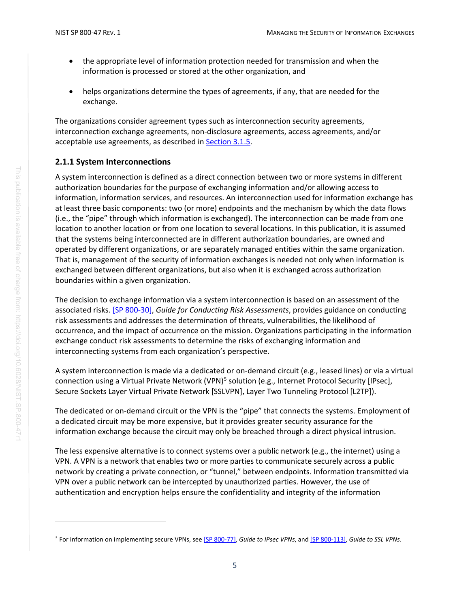- the appropriate level of information protection needed for transmission and when the information is processed or stored at the other organization, and
- helps organizations determine the types of agreements, if any, that are needed for the exchange.

The organizations consider agreement types such as interconnection security agreements, interconnection exchange agreements, non-disclosure agreements, access agreements, and/or acceptable use agreements, as described in [Section 3.1.5.](#page-25-0)

#### <span id="page-13-0"></span>**2.1.1 System Interconnections**

A system interconnection is defined as a direct connection between two or more systems in different authorization boundaries for the purpose of exchanging information and/or allowing access to information, information services, and resources. An interconnection used for information exchange has at least three basic components: two (or more) endpoints and the mechanism by which the data flows (i.e., the "pipe" through which information is exchanged). The interconnection can be made from one location to another location or from one location to several locations. In this publication, it is assumed that the systems being interconnected are in different authorization boundaries, are owned and operated by different organizations, or are separately managed entities within the same organization. That is, management of the security of information exchanges is needed not only when information is exchanged between different organizations, but also when it is exchanged across authorization boundaries within a given organization.

The decision to exchange information via a system interconnection is based on an assessment of the associated risks. [\[SP 800-30\],](#page-40-2) *Guide for Conducting Risk Assessments*, provides guidance on conducting risk assessments and addresses the determination of threats, vulnerabilities, the likelihood of occurrence, and the impact of occurrence on the mission. Organizations participating in the information exchange conduct risk assessments to determine the risks of exchanging information and interconnecting systems from each organization's perspective.

A system interconnection is made via a dedicated or on-demand circuit (e.g., leased lines) or via a virtual connection using a Virtual Private Network (VPN)<sup>[5](#page-13-1)</sup> solution (e.g., Internet Protocol Security [IPsec], Secure Sockets Layer Virtual Private Network [SSLVPN], Layer Two Tunneling Protocol [L2TP]).

The dedicated or on-demand circuit or the VPN is the "pipe" that connects the systems. Employment of a dedicated circuit may be more expensive, but it provides greater security assurance for the information exchange because the circuit may only be breached through a direct physical intrusion.

The less expensive alternative is to connect systems over a public network (e.g., the internet) using a VPN. A VPN is a network that enables two or more parties to communicate securely across a public network by creating a private connection, or "tunnel," between endpoints. Information transmitted via VPN over a public network can be intercepted by unauthorized parties. However, the use of authentication and encryption helps ensure the confidentiality and integrity of the information

<span id="page-13-1"></span><sup>5</sup> For information on implementing secure VPNs, se[e \[SP 800-77\],](#page-42-0) *Guide to IPsec VPNs*, an[d \[SP 800-113\],](#page-42-1) *Guide to SSL VPNs*.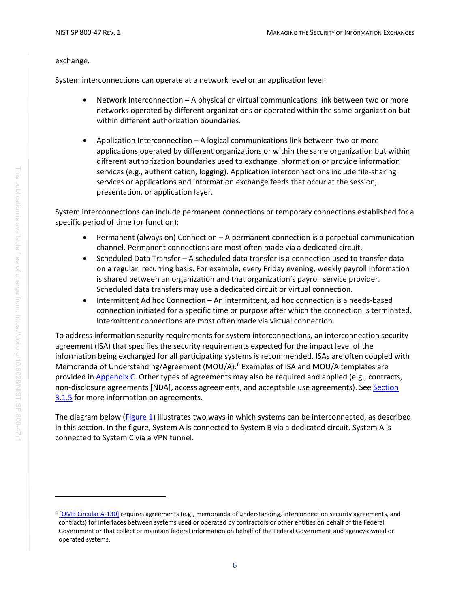#### exchange.

System interconnections can operate at a network level or an application level:

- Network Interconnection A physical or virtual communications link between two or more networks operated by different organizations or operated within the same organization but within different authorization boundaries.
- Application Interconnection A logical communications link between two or more applications operated by different organizations or within the same organization but within different authorization boundaries used to exchange information or provide information services (e.g., authentication, logging). Application interconnections include file-sharing services or applications and information exchange feeds that occur at the session, presentation, or application layer.

System interconnections can include permanent connections or temporary connections established for a specific period of time (or function):

- Permanent (always on) Connection A permanent connection is a perpetual communication channel. Permanent connections are most often made via a dedicated circuit.
- Scheduled Data Transfer A scheduled data transfer is a connection used to transfer data on a regular, recurring basis. For example, every Friday evening, weekly payroll information is shared between an organization and that organization's payroll service provider. Scheduled data transfers may use a dedicated circuit or virtual connection.
- Intermittent Ad hoc Connection An intermittent, ad hoc connection is a needs-based connection initiated for a specific time or purpose after which the connection is terminated. Intermittent connections are most often made via virtual connection.

To address information security requirements for system interconnections, an interconnection security agreement (ISA) that specifies the security requirements expected for the impact level of the information being exchanged for all participating systems is recommended. ISAs are often coupled with Memoranda of Understanding/Agreement (MOU/A).<sup>[6](#page-14-0)</sup> Examples of ISA and MOU/A templates are provided in [Appendix C.](#page-49-0) Other types of agreements may also be required and applied (e.g., contracts, non-disclosure agreements [NDA], access agreements, and acceptable use agreements). See [Section](#page-25-0)  [3.1.5](#page-25-0) for more information on agreements.

The diagram below [\(Figure 1\)](#page-15-1) illustrates two ways in which systems can be interconnected, as described in this section. In the figure, System A is connected to System B via a dedicated circuit. System A is connected to System C via a VPN tunnel.

<span id="page-14-0"></span> $6$  [OMB [Circular A-130\]](#page-40-0) requires agreements (e.g., memoranda of understanding, interconnection security agreements, and contracts) for interfaces between systems used or operated by contractors or other entities on behalf of the Federal Government or that collect or maintain federal information on behalf of the Federal Government and agency-owned or operated systems.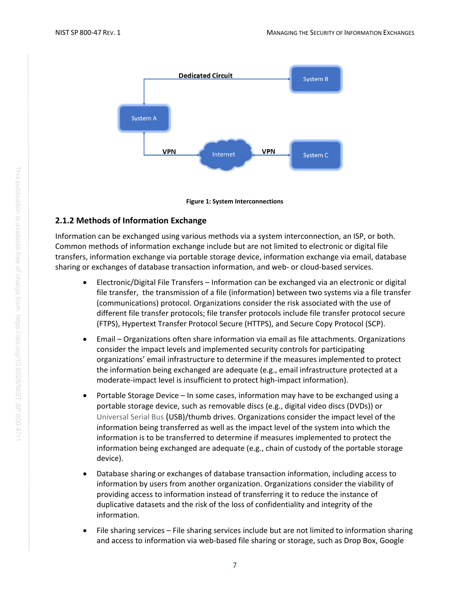

**Figure 1: System Interconnections**

#### <span id="page-15-1"></span><span id="page-15-0"></span>**2.1.2 Methods of Information Exchange**

Information can be exchanged using various methods via a system interconnection, an ISP, or both. Common methods of information exchange include but are not limited to electronic or digital file transfers, information exchange via portable storage device, information exchange via email, database sharing or exchanges of database transaction information, and web- or cloud-based services.

- Electronic/Digital File Transfers Information can be exchanged via an electronic or digital file transfer, the transmission of a file (information) between two systems via a file transfer (communications) protocol. Organizations consider the risk associated with the use of different file transfer protocols; file transfer protocols include file transfer protocol secure (FTPS), Hypertext Transfer Protocol Secure (HTTPS), and Secure Copy Protocol (SCP).
- Email Organizations often share information via email as file attachments. Organizations consider the impact levels and implemented security controls for participating organizations' email infrastructure to determine if the measures implemented to protect the information being exchanged are adequate (e.g., email infrastructure protected at a moderate-impact level is insufficient to protect high-impact information).
- Portable Storage Device In some cases, information may have to be exchanged using a portable storage device, such as removable discs (e.g., digital video discs (DVDs)) or Universal Serial Bus (USB)/thumb drives. Organizations consider the impact level of the information being transferred as well as the impact level of the system into which the information is to be transferred to determine if measures implemented to protect the information being exchanged are adequate (e.g., chain of custody of the portable storage device).
- Database sharing or exchanges of database transaction information, including access to information by users from another organization. Organizations consider the viability of providing access to information instead of transferring it to reduce the instance of duplicative datasets and the risk of the loss of confidentiality and integrity of the information.
- File sharing services File sharing services include but are not limited to information sharing and access to information via web-based file sharing or storage, such as Drop Box, Google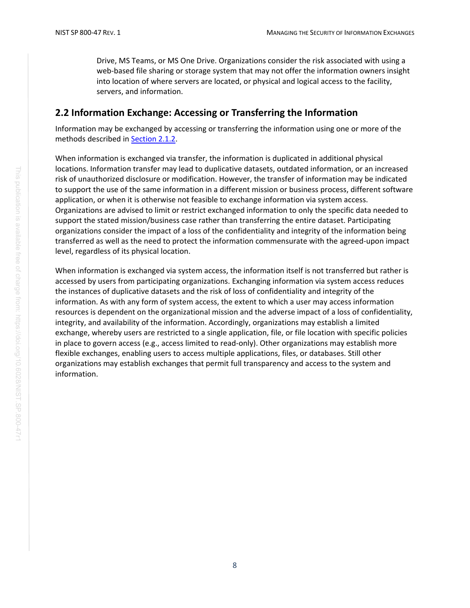Drive, MS Teams, or MS One Drive. Organizations consider the risk associated with using a web-based file sharing or storage system that may not offer the information owners insight into location of where servers are located, or physical and logical access to the facility, servers, and information.

## <span id="page-16-0"></span>**2.2 Information Exchange: Accessing or Transferring the Information**

Information may be exchanged by accessing or transferring the information using one or more of the methods described in [Section 2.1.](#page-15-0)2.

When information is exchanged via transfer, the information is duplicated in additional physical locations. Information transfer may lead to duplicative datasets, outdated information, or an increased risk of unauthorized disclosure or modification. However, the transfer of information may be indicated to support the use of the same information in a different mission or business process, different software application, or when it is otherwise not feasible to exchange information via system access. Organizations are advised to limit or restrict exchanged information to only the specific data needed to support the stated mission/business case rather than transferring the entire dataset. Participating organizations consider the impact of a loss of the confidentiality and integrity of the information being transferred as well as the need to protect the information commensurate with the agreed-upon impact level, regardless of its physical location.

When information is exchanged via system access, the information itself is not transferred but rather is accessed by users from participating organizations. Exchanging information via system access reduces the instances of duplicative datasets and the risk of loss of confidentiality and integrity of the information. As with any form of system access, the extent to which a user may access information resources is dependent on the organizational mission and the adverse impact of a loss of confidentiality, integrity, and availability of the information. Accordingly, organizations may establish a limited exchange, whereby users are restricted to a single application, file, or file location with specific policies in place to govern access (e.g., access limited to read-only). Other organizations may establish more flexible exchanges, enabling users to access multiple applications, files, or databases. Still other organizations may establish exchanges that permit full transparency and access to the system and information.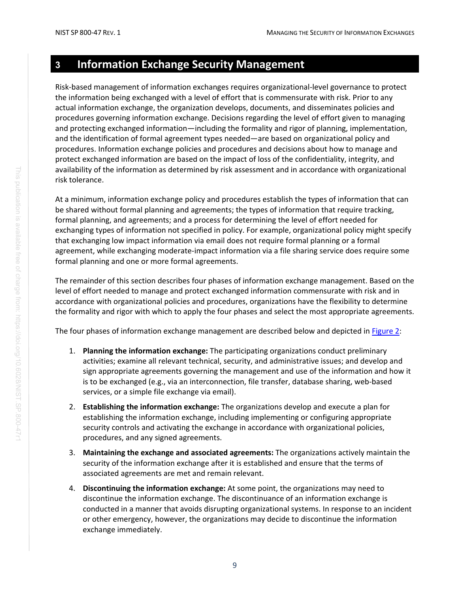## <span id="page-17-0"></span>**3 Information Exchange Security Management**

Risk-based management of information exchanges requires organizational-level governance to protect the information being exchanged with a level of effort that is commensurate with risk. Prior to any actual information exchange, the organization develops, documents, and disseminates policies and procedures governing information exchange. Decisions regarding the level of effort given to managing and protecting exchanged information—including the formality and rigor of planning, implementation, and the identification of formal agreement types needed—are based on organizational policy and procedures. Information exchange policies and procedures and decisions about how to manage and protect exchanged information are based on the impact of loss of the confidentiality, integrity, and availability of the information as determined by risk assessment and in accordance with organizational risk tolerance.

At a minimum, information exchange policy and procedures establish the types of information that can be shared without formal planning and agreements; the types of information that require tracking, formal planning, and agreements; and a process for determining the level of effort needed for exchanging types of information not specified in policy. For example, organizational policy might specify that exchanging low impact information via email does not require formal planning or a formal agreement, while exchanging moderate-impact information via a file sharing service does require some formal planning and one or more formal agreements.

The remainder of this section describes four phases of information exchange management. Based on the level of effort needed to manage and protect exchanged information commensurate with risk and in accordance with organizational policies and procedures, organizations have the flexibility to determine the formality and rigor with which to apply the four phases and select the most appropriate agreements.

The four phases of information exchange management are described below and depicted i[n Figure 2:](#page-18-2)

- 1. **Planning the information exchange:** The participating organizations conduct preliminary activities; examine all relevant technical, security, and administrative issues; and develop and sign appropriate agreements governing the management and use of the information and how it is to be exchanged (e.g., via an interconnection, file transfer, database sharing, web-based services, or a simple file exchange via email).
- 2. **Establishing the information exchange:** The organizations develop and execute a plan for establishing the information exchange, including implementing or configuring appropriate security controls and activating the exchange in accordance with organizational policies, procedures, and any signed agreements.
- 3. **Maintaining the exchange and associated agreements:** The organizations actively maintain the security of the information exchange after it is established and ensure that the terms of associated agreements are met and remain relevant.
- 4. **Discontinuing the information exchange:** At some point, the organizations may need to discontinue the information exchange. The discontinuance of an information exchange is conducted in a manner that avoids disrupting organizational systems. In response to an incident or other emergency, however, the organizations may decide to discontinue the information exchange immediately.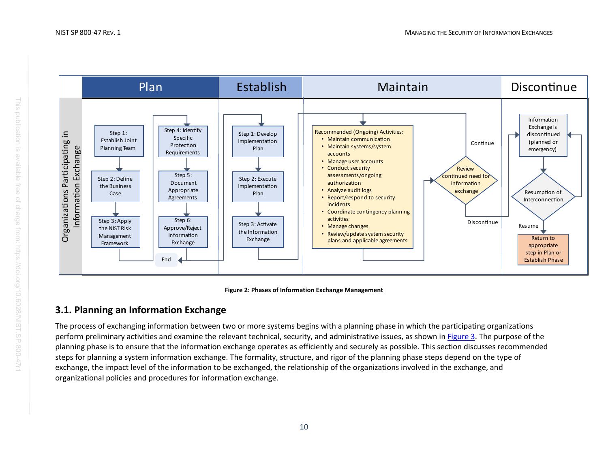



## <span id="page-18-2"></span>**3.1. Planning an Information Exchange**

<span id="page-18-1"></span><span id="page-18-0"></span>The process of exchanging information between two or more systems begins with a planning phase in which the participating organizations perform preliminary activities and examine the relevant technical, security, and administrative issues, as shown in [Figure 3.](#page-19-2) The purpose of the planning phase is to ensure that the information exchange operates as efficiently and securely as possible. This section discusses recommended steps for planning a system information exchange. The formality, structure, and rigor of the planning phase steps depend on the type of exchange, the impact level of the information to be exchanged, the relationship of the organizations involved in the exchange, and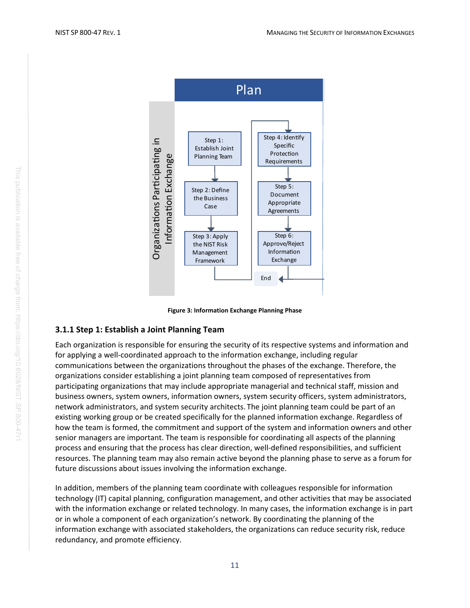

**Figure 3: Information Exchange Planning Phase**

#### <span id="page-19-1"></span><span id="page-19-0"></span>**3.1.1 Step 1: Establish a Joint Planning Team**

<span id="page-19-2"></span>Each organization is responsible for ensuring the security of its respective systems and information and for applying a well-coordinated approach to the information exchange, including regular communications between the organizations throughout the phases of the exchange. Therefore, the organizations consider establishing a joint planning team composed of representatives from participating organizations that may include appropriate managerial and technical staff, mission and business owners, system owners, information owners, system security officers, system administrators, network administrators, and system security architects. The joint planning team could be part of an existing working group or be created specifically for the planned information exchange. Regardless of how the team is formed, the commitment and support of the system and information owners and other senior managers are important. The team is responsible for coordinating all aspects of the planning process and ensuring that the process has clear direction, well-defined responsibilities, and sufficient resources. The planning team may also remain active beyond the planning phase to serve as a forum for future discussions about issues involving the information exchange. redundancy, and promote efficiency.<br>The promote efficiency of the promote effect of the standard and produced a section of the standard and promounications between the organizabons Paraman communications between the organi

In addition, members of the planning team coordinate with colleagues responsible for information technology (IT) capital planning, configuration management, and other activities that may be associated with the information exchange or related technology. In many cases, the information exchange is in part or in whole a component of each organization's network. By coordinating the planning of the information exchange with associated stakeholders, the organizations can reduce security risk, reduce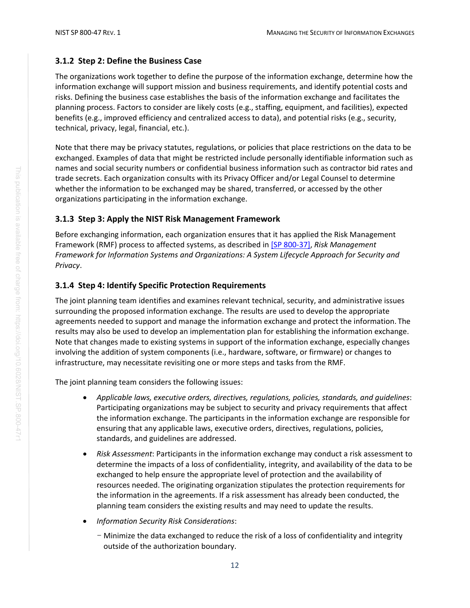#### <span id="page-20-0"></span>**3.1.2 Step 2: Define the Business Case**

The organizations work together to define the purpose of the information exchange, determine how the information exchange will support mission and business requirements, and identify potential costs and risks. Defining the business case establishes the basis of the information exchange and facilitates the planning process. Factors to consider are likely costs (e.g., staffing, equipment, and facilities), expected benefits (e.g., improved efficiency and centralized access to data), and potential risks (e.g., security, technical, privacy, legal, financial, etc.).

Note that there may be privacy statutes, regulations, or policies that place restrictions on the data to be exchanged. Examples of data that might be restricted include personally identifiable information such as names and social security numbers or confidential business information such as contractor bid rates and trade secrets. Each organization consults with its Privacy Officer and/or Legal Counsel to determine whether the information to be exchanged may be shared, transferred, or accessed by the other organizations participating in the information exchange.

### <span id="page-20-1"></span>**3.1.3 Step 3: Apply the NIST Risk Management Framework**

Before exchanging information, each organization ensures that it has applied the Risk Management Framework (RMF) process to affected systems, as described in [\[SP 800-37\],](#page-41-0) *Risk Management Framework for Information Systems and Organizations: A System Lifecycle Approach for Security and Privacy*.

### <span id="page-20-2"></span>**3.1.4 Step 4: Identify Specific Protection Requirements**

The joint planning team identifies and examines relevant technical, security, and administrative issues surrounding the proposed information exchange. The results are used to develop the appropriate agreements needed to support and manage the information exchange and protect the information. The results may also be used to develop an implementation plan for establishing the information exchange. Note that changes made to existing systems in support of the information exchange, especially changes involving the addition of system components (i.e., hardware, software, or firmware) or changes to infrastructure, may necessitate revisiting one or more steps and tasks from the RMF.

The joint planning team considers the following issues:

- *Applicable laws, executive orders, directives, regulations, policies, standards, and guidelines*: Participating organizations may be subject to security and privacy requirements that affect the information exchange. The participants in the information exchange are responsible for ensuring that any applicable laws, executive orders, directives, regulations, policies, standards, and guidelines are addressed.
- *Risk Assessment*: Participants in the information exchange may conduct a risk assessment to determine the impacts of a loss of confidentiality, integrity, and availability of the data to be exchanged to help ensure the appropriate level of protection and the availability of resources needed. The originating organization stipulates the protection requirements for the information in the agreements. If a risk assessment has already been conducted, the planning team considers the existing results and may need to update the results.
- *Information Security Risk Considerations*:
	- Minimize the data exchanged to reduce the risk of a loss of confidentiality and integrity outside of the authorization boundary.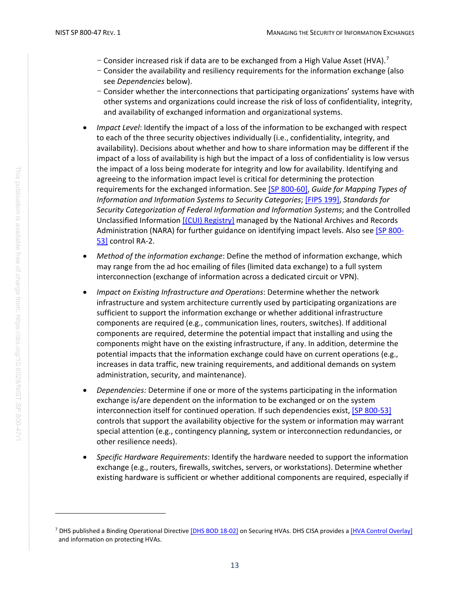- $-$  Consider increased risk if data are to be exchanged from a High Value Asset (HVA).<sup>[7](#page-21-0)</sup>
- Consider the availability and resiliency requirements for the information exchange (also see *Dependencies* below).
- Consider whether the interconnections that participating organizations' systems have with other systems and organizations could increase the risk of loss of confidentiality, integrity, and availability of exchanged information and organizational systems.
- *Impact Level*: Identify the impact of a loss of the information to be exchanged with respect to each of the three security objectives individually (i.e., confidentiality, integrity, and availability). Decisions about whether and how to share information may be different if the impact of a loss of availability is high but the impact of a loss of confidentiality is low versus the impact of a loss being moderate for integrity and low for availability. Identifying and agreeing to the information impact level is critical for determining the protection requirements for the exchanged information. Se[e \[SP 800-60\],](#page-41-1) *Guide for Mapping Types of Information and Information Systems to Security Categories*[; \[FIPS 199\],](#page-40-3) *Standards for Security Categorization of Federal Information and Information Systems*; and the Controlled Unclassified Information [\[\(CUI\) Registry\]](#page-44-1) managed by the National Archives and Records Administration (NARA) for further guidance on identifying impact levels. Also see [\[SP 800-](#page-41-2) [53\]](#page-41-2) control RA-2.
- *Method of the information exchange*: Define the method of information exchange, which may range from the ad hoc emailing of files (limited data exchange) to a full system interconnection (exchange of information across a dedicated circuit or VPN).
- *Impact on Existing Infrastructure and Operations*: Determine whether the network infrastructure and system architecture currently used by participating organizations are sufficient to support the information exchange or whether additional infrastructure components are required (e.g., communication lines, routers, switches). If additional components are required, determine the potential impact that installing and using the components might have on the existing infrastructure, if any. In addition, determine the potential impacts that the information exchange could have on current operations (e.g., increases in data traffic, new training requirements, and additional demands on system administration, security, and maintenance).
- *Dependencies:* Determine if one or more of the systems participating in the information exchange is/are dependent on the information to be exchanged or on the system interconnection itself for continued operation. If such dependencies exist, [\[SP 800-53\]](#page-41-2) controls that support the availability objective for the system or information may warrant special attention (e.g., contingency planning, system or interconnection redundancies, or other resilience needs).
- *Specific Hardware Requirements*: Identify the hardware needed to support the information exchange (e.g., routers, firewalls, switches, servers, or workstations). Determine whether existing hardware is sufficient or whether additional components are required, especially if

<span id="page-21-0"></span><sup>&</sup>lt;sup>7</sup> DHS published a Binding Operational Directiv[e \[DHS BOD 18-02\]](#page-40-4) on Securing HVAs. DHS CISA provides a [\[HVA Control Overlay\]](#page-44-2) and information on protecting HVAs.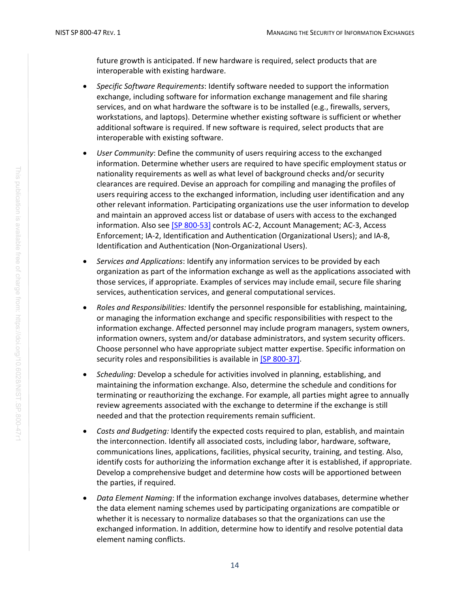future growth is anticipated. If new hardware is required, select products that are interoperable with existing hardware.

- *Specific Software Requirements*: Identify software needed to support the information exchange, including software for information exchange management and file sharing services, and on what hardware the software is to be installed (e.g., firewalls, servers, workstations, and laptops). Determine whether existing software is sufficient or whether additional software is required. If new software is required, select products that are interoperable with existing software.
- *User Community*: Define the community of users requiring access to the exchanged information. Determine whether users are required to have specific employment status or nationality requirements as well as what level of background checks and/or security clearances are required. Devise an approach for compiling and managing the profiles of users requiring access to the exchanged information, including user identification and any other relevant information. Participating organizations use the user information to develop and maintain an approved access list or database of users with access to the exchanged information. Also se[e \[SP 800-53\]](#page-41-2) controls AC-2, Account Management; AC-3, Access Enforcement; IA-2, Identification and Authentication (Organizational Users); and IA-8, Identification and Authentication (Non-Organizational Users).
- *Services and Applications*: Identify any information services to be provided by each organization as part of the information exchange as well as the applications associated with those services, if appropriate. Examples of services may include email, secure file sharing services, authentication services, and general computational services.
- *Roles and Responsibilities:* Identify the personnel responsible for establishing, maintaining, or managing the information exchange and specific responsibilities with respect to the information exchange. Affected personnel may include program managers, system owners, information owners, system and/or database administrators, and system security officers. Choose personnel who have appropriate subject matter expertise. Specific information on security roles and responsibilities is available in [\[SP 800-37\].](#page-41-0)
- *Scheduling:* Develop a schedule for activities involved in planning, establishing, and maintaining the information exchange. Also, determine the schedule and conditions for terminating or reauthorizing the exchange. For example, all parties might agree to annually review agreements associated with the exchange to determine if the exchange is still needed and that the protection requirements remain sufficient.
- *Costs and Budgeting:* Identify the expected costs required to plan, establish, and maintain the interconnection. Identify all associated costs, including labor, hardware, software, communications lines, applications, facilities, physical security, training, and testing. Also, identify costs for authorizing the information exchange after it is established, if appropriate. Develop a comprehensive budget and determine how costs will be apportioned between the parties, if required.
- *Data Element Naming*: If the information exchange involves databases, determine whether the data element naming schemes used by participating organizations are compatible or whether it is necessary to normalize databases so that the organizations can use the exchanged information. In addition, determine how to identify and resolve potential data element naming conflicts.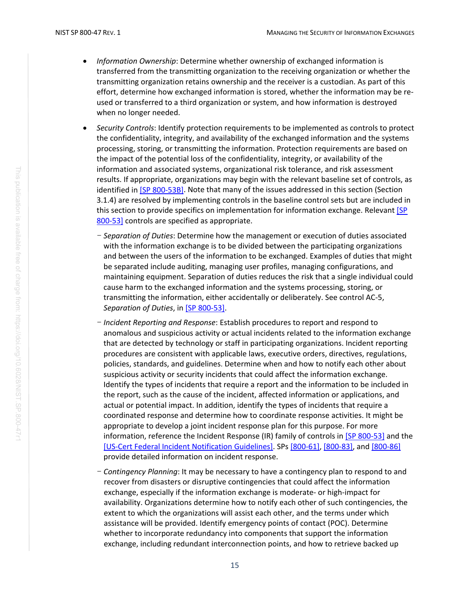- *Information Ownership*: Determine whether ownership of exchanged information is transferred from the transmitting organization to the receiving organization or whether the transmitting organization retains ownership and the receiver is a custodian. As part of this effort, determine how exchanged information is stored, whether the information may be reused or transferred to a third organization or system, and how information is destroyed when no longer needed.
- *Security Controls*: Identify protection requirements to be implemented as controls to protect the confidentiality, integrity, and availability of the exchanged information and the systems processing, storing, or transmitting the information. Protection requirements are based on the impact of the potential loss of the confidentiality, integrity, or availability of the information and associated systems, organizational risk tolerance, and risk assessment results. If appropriate, organizations may begin with the relevant baseline set of controls, as identified in [\[SP 800-53B\].](#page-41-3) Note that many of the issues addressed in this section (Section 3.1.4) are resolved by implementing controls in the baseline control sets but are included in this section to provide specifics on implementation for information exchange. Relevant [SP [800-53\]](#page-41-2) controls are specified as appropriate.
	- *Separation of Duties*: Determine how the management or execution of duties associated with the information exchange is to be divided between the participating organizations and between the users of the information to be exchanged. Examples of duties that might be separated include auditing, managing user profiles, managing configurations, and maintaining equipment. Separation of duties reduces the risk that a single individual could cause harm to the exchanged information and the systems processing, storing, or transmitting the information, either accidentally or deliberately. See control AC-5, *Separation of Duties*, i[n \[SP 800-53\].](#page-41-2)
	- *Incident Reporting and Response*: Establish procedures to report and respond to anomalous and suspicious activity or actual incidents related to the information exchange that are detected by technology or staff in participating organizations. Incident reporting procedures are consistent with applicable laws, executive orders, directives, regulations, policies, standards, and guidelines. Determine when and how to notify each other about suspicious activity or security incidents that could affect the information exchange. Identify the types of incidents that require a report and the information to be included in the report, such as the cause of the incident, affected information or applications, and actual or potential impact. In addition, identify the types of incidents that require a coordinated response and determine how to coordinate response activities. It might be appropriate to develop a joint incident response plan for this purpose. For more information, reference the Incident Response (IR) family of controls in [SP [800-53\]](#page-41-2) and the [\[US-Cert Federal Incident Notification Guidelines\].](#page-44-3) SPs [\[800-61\],](#page-42-2) [\[800-83\],](#page-42-3) and [\[800-86\]](#page-42-4) provide detailed information on incident response.
	- *Contingency Planning*: It may be necessary to have a contingency plan to respond to and recover from disasters or disruptive contingencies that could affect the information exchange, especially if the information exchange is moderate- or high-impact for availability. Organizations determine how to notify each other of such contingencies, the extent to which the organizations will assist each other, and the terms under which assistance will be provided. Identify emergency points of contact (POC). Determine whether to incorporate redundancy into components that support the information exchange, including redundant interconnection points, and how to retrieve backed up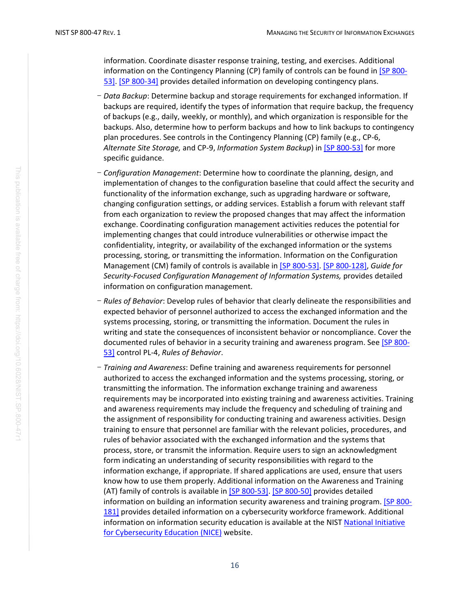information. Coordinate disaster response training, testing, and exercises. Additional information on the Contingency Planning (CP) family of controls can be found in  $[SP 800-$ [53\].](#page-41-2) [\[SP 800-34\]](#page-40-5) provides detailed information on developing contingency plans.

- *Data Backup*: Determine backup and storage requirements for exchanged information. If backups are required, identify the types of information that require backup, the frequency of backups (e.g., daily, weekly, or monthly), and which organization is responsible for the backups. Also, determine how to perform backups and how to link backups to contingency plan procedures. See controls in the Contingency Planning (CP) family (e.g., CP-6, *Alternate Site Storage,* and CP-9, *Information System Backup*) in [\[SP 800-53\]](#page-41-2) for more specific guidance.
- *Configuration Management*: Determine how to coordinate the planning, design, and implementation of changes to the configuration baseline that could affect the security and functionality of the information exchange, such as upgrading hardware or software, changing configuration settings, or adding services. Establish a forum with relevant staff from each organization to review the proposed changes that may affect the information exchange. Coordinating configuration management activities reduces the potential for implementing changes that could introduce vulnerabilities or otherwise impact the confidentiality, integrity, or availability of the exchanged information or the systems processing, storing, or transmitting the information. Information on the Configuration Management (CM) family of controls is available i[n \[SP 800-53\].](#page-41-2) [\[SP 800-128\],](#page-43-0) *Guide for Security-Focused Configuration Management of Information Systems,* provides detailed information on configuration management.
- *Rules of Behavior*: Develop rules of behavior that clearly delineate the responsibilities and expected behavior of personnel authorized to access the exchanged information and the systems processing, storing, or transmitting the information. Document the rules in writing and state the consequences of inconsistent behavior or noncompliance. Cover the documented rules of behavior in a security training and awareness program. See [\[SP 800-](#page-41-2) [53\]](#page-41-2) control PL-4, *Rules of Behavior*.
- *Training and Awareness*: Define training and awareness requirements for personnel authorized to access the exchanged information and the systems processing, storing, or transmitting the information. The information exchange training and awareness requirements may be incorporated into existing training and awareness activities. Training and awareness requirements may include the frequency and scheduling of training and the assignment of responsibility for conducting training and awareness activities. Design training to ensure that personnel are familiar with the relevant policies, procedures, and rules of behavior associated with the exchanged information and the systems that process, store, or transmit the information. Require users to sign an acknowledgment form indicating an understanding of security responsibilities with regard to the information exchange, if appropriate. If shared applications are used, ensure that users know how to use them properly. Additional information on the Awareness and Training (AT) family of controls is available in [\[SP 800-53\].](#page-41-2) [\[SP 800-50\]](#page-41-4) provides detailed information on building an information security awareness and training program. [\[SP 800-](#page-43-1) [181\]](#page-43-1) provides detailed information on a cybersecurity workforce framework. Additional information on information security education is available at the NIST [National Initiative](#page-44-4)  [for Cybersecurity Education \(NICE\)](#page-44-4) website.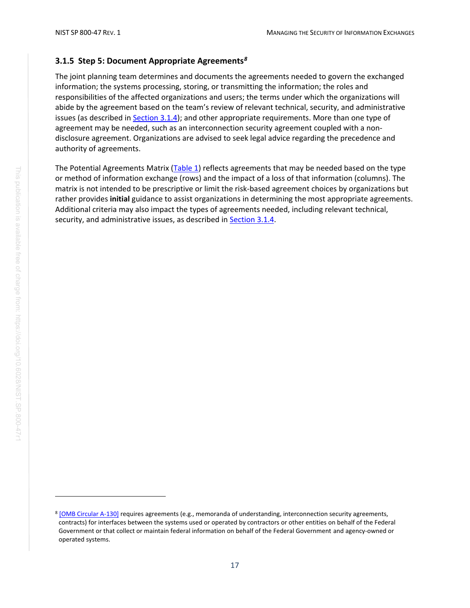#### <span id="page-25-0"></span>**3.1.5 Step 5: Document Appropriate Agreements***[8](#page-25-1)*

The joint planning team determines and documents the agreements needed to govern the exchanged information; the systems processing, storing, or transmitting the information; the roles and responsibilities of the affected organizations and users; the terms under which the organizations will abide by the agreement based on the team's review of relevant technical, security, and administrative issues (as described in [Section 3.1.4\)](#page-20-2); and other appropriate requirements. More than one type of agreement may be needed, such as an interconnection security agreement coupled with a nondisclosure agreement. Organizations are advised to seek legal advice regarding the precedence and authority of agreements.

The Potential Agreements Matrix (Table 1) reflects agreements that may be needed based on the type or method of information exchange (rows) and the impact of a loss of that information (columns). The matrix is not intended to be prescriptive or limit the risk-based agreement choices by organizations but rather provides **initial** guidance to assist organizations in determining the most appropriate agreements. Additional criteria may also impact the types of agreements needed, including relevant technical, security, and administrative issues, as described in [Section 3.1.4.](#page-20-2)

<span id="page-25-1"></span><sup>&</sup>lt;sup>8</sup> [OMB [Circular A-130\]](#page-40-0) requires agreements (e.g., memoranda of understanding, interconnection security agreements, contracts) for interfaces between the systems used or operated by contractors or other entities on behalf of the Federal Government or that collect or maintain federal information on behalf of the Federal Government and agency-owned or operated systems.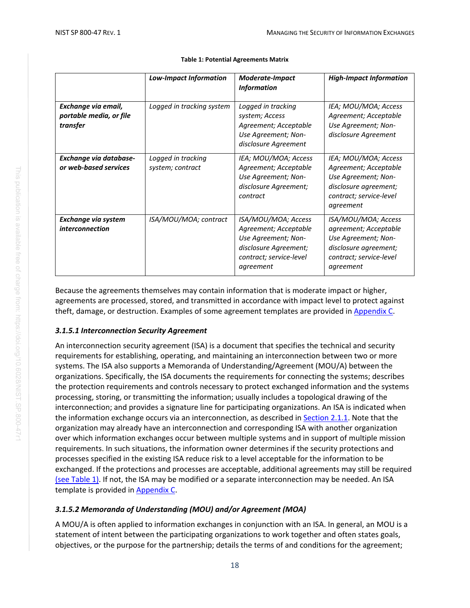<span id="page-26-0"></span>

|                                                            | <b>Low-Impact Information</b>          | <b>Moderate-Impact</b><br><b>Information</b>                                                                                         | <b>High-Impact Information</b>                                                                                                        |
|------------------------------------------------------------|----------------------------------------|--------------------------------------------------------------------------------------------------------------------------------------|---------------------------------------------------------------------------------------------------------------------------------------|
| Exchange via email,<br>portable media, or file<br>transfer | Logged in tracking system              | Logged in tracking<br>system; Access<br>Agreement; Acceptable<br>Use Agreement; Non-<br>disclosure Agreement                         | IEA; MOU/MOA; Access<br>Agreement; Acceptable<br>Use Agreement; Non-<br>disclosure Agreement                                          |
| Exchange via database-<br>or web-based services            | Logged in tracking<br>system; contract | IEA; MOU/MOA; Access<br>Agreement; Acceptable<br>Use Agreement; Non-<br>disclosure Agreement;<br>contract                            | IEA; MOU/MOA; Access<br>Agreement; Acceptable<br>Use Agreement; Non-<br>disclosure agreement;<br>contract; service-level<br>agreement |
| Exchange via system<br>interconnection                     | ISA/MOU/MOA; contract                  | ISA/MOU/MOA; Access<br>Agreement; Acceptable<br>Use Agreement; Non-<br>disclosure Agreement;<br>contract; service-level<br>agreement | ISA/MOU/MOA; Access<br>agreement; Acceptable<br>Use Agreement; Non-<br>disclosure agreement;<br>contract; service-level<br>agreement  |

#### **Table 1: Potential Agreements Matrix**

Because the agreements themselves may contain information that is moderate impact or higher, agreements are processed, stored, and transmitted in accordance with impact level to protect against theft, damage, or destruction. Examples of some agreement templates are provided in [Appendix C.](#page-49-0)

## *3.1.5.1 Interconnection Security Agreement*

An interconnection security agreement (ISA) is a document that specifies the technical and security requirements for establishing, operating, and maintaining an interconnection between two or more systems. The ISA also supports a Memoranda of Understanding/Agreement (MOU/A) between the organizations. Specifically, the ISA documents the requirements for connecting the systems; describes the protection requirements and controls necessary to protect exchanged information and the systems processing, storing, or transmitting the information; usually includes a topological drawing of the interconnection; and provides a signature line for participating organizations. An ISA is indicated when the information exchange occurs via an interconnection, as described in [Section 2.1.1.](#page-13-0) Note that the organization may already have an interconnection and corresponding ISA with another organization over which information exchanges occur between multiple systems and in support of multiple mission requirements. In such situations, the information owner determines if the security protections and processes specified in the existing ISA reduce risk to a level acceptable for the information to be exchanged. If the protections and processes are acceptable, additional agreements may still be required (see Table 1). If not, the ISA may be modified or a separate interconnection may be needed. An ISA template is provided i[n Appendix C.](#page-49-0)

## *3.1.5.2 Memoranda of Understanding (MOU) and/or Agreement (MOA)*

A MOU/A is often applied to information exchanges in conjunction with an ISA. In general, an MOU is a statement of intent between the participating organizations to work together and often states goals, objectives, or the purpose for the partnership; details the terms of and conditions for the agreement;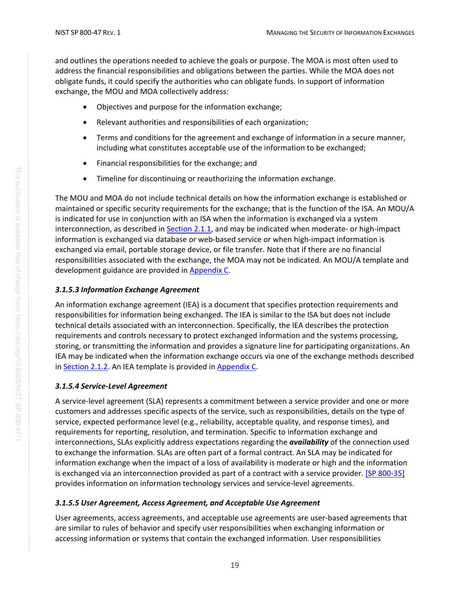and outlines the operations needed to achieve the goals or purpose. The MOA is most often used to address the financial responsibilities and obligations between the parties. While the MOA does not obligate funds, it could specify the authorities who can obligate funds. In support of information exchange, the MOU and MOA collectively address:

- Objectives and purpose for the information exchange;
- Relevant authorities and responsibilities of each organization;
- Terms and conditions for the agreement and exchange of information in a secure manner, including what constitutes acceptable use of the information to be exchanged;
- Financial responsibilities for the exchange; and
- Timeline for discontinuing or reauthorizing the information exchange.

The MOU and MOA do not include technical details on how the information exchange is established or maintained or specific security requirements for the exchange; that is the function of the ISA. An MOU/A is indicated for use in conjunction with an ISA when the information is exchanged via a system interconnection, as described in [Section 2.1.1,](#page-13-0) and may be indicated when moderate- or high-impact information is exchanged via database or web-based service or when high-impact information is exchanged via email, portable storage device, or file transfer. Note that if there are no financial responsibilities associated with the exchange, the MOA may not be indicated. An MOU/A template and development guidance are provided in [Appendix C.](#page-49-0)

#### *3.1.5.3 Information Exchange Agreement*

An information exchange agreement (IEA) is a document that specifies protection requirements and responsibilities for information being exchanged. The IEA is similar to the ISA but does not include technical details associated with an interconnection. Specifically, the IEA describes the protection requirements and controls necessary to protect exchanged information and the systems processing, storing, or transmitting the information and provides a signature line for participating organizations. An IEA may be indicated when the information exchange occurs via one of the exchange methods described in [Section 2.1.2.](#page-15-0) An IEA template is provided in [Appendix C.](#page-49-0)

#### *3.1.5.4 Service-Level Agreement*

A service-level agreement (SLA) represents a commitment between a service provider and one or more customers and addresses specific aspects of the service, such as responsibilities, details on the type of service, expected performance level (e.g., reliability, acceptable quality, and response times), and requirements for reporting, resolution, and termination. Specific to information exchange and interconnections, SLAs explicitly address expectations regarding the *availability* of the connection used to exchange the information. SLAs are often part of a formal contract. An SLA may be indicated for information exchange when the impact of a loss of availability is moderate or high and the information is exchanged via an interconnection provided as part of a contract with a service provider. [\[SP 800-35\]](#page-41-5) provides information on information technology services and service-level agreements.

#### *3.1.5.5 User Agreement, Access Agreement, and Acceptable Use Agreement*

User agreements, access agreements, and acceptable use agreements are user-based agreements that are similar to rules of behavior and specify user responsibilities when exchanging information or accessing information or systems that contain the exchanged information. User responsibilities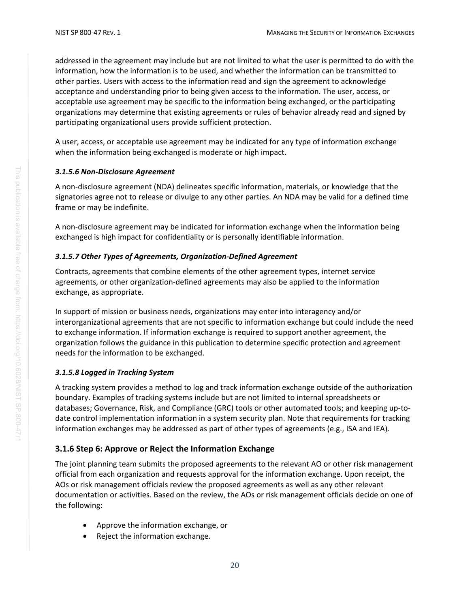addressed in the agreement may include but are not limited to what the user is permitted to do with the information, how the information is to be used, and whether the information can be transmitted to other parties. Users with access to the information read and sign the agreement to acknowledge acceptance and understanding prior to being given access to the information. The user, access, or acceptable use agreement may be specific to the information being exchanged, or the participating organizations may determine that existing agreements or rules of behavior already read and signed by participating organizational users provide sufficient protection.

A user, access, or acceptable use agreement may be indicated for any type of information exchange when the information being exchanged is moderate or high impact.

#### *3.1.5.6 Non-Disclosure Agreement*

A non-disclosure agreement (NDA) delineates specific information, materials, or knowledge that the signatories agree not to release or divulge to any other parties. An NDA may be valid for a defined time frame or may be indefinite.

A non-disclosure agreement may be indicated for information exchange when the information being exchanged is high impact for confidentiality or is personally identifiable information.

#### *3.1.5.7 Other Types of Agreements, Organization-Defined Agreement*

Contracts, agreements that combine elements of the other agreement types, internet service agreements, or other organization-defined agreements may also be applied to the information exchange, as appropriate.

In support of mission or business needs, organizations may enter into interagency and/or interorganizational agreements that are not specific to information exchange but could include the need to exchange information. If information exchange is required to support another agreement, the organization follows the guidance in this publication to determine specific protection and agreement needs for the information to be exchanged.

#### *3.1.5.8 Logged in Tracking System*

A tracking system provides a method to log and track information exchange outside of the authorization boundary. Examples of tracking systems include but are not limited to internal spreadsheets or databases; Governance, Risk, and Compliance (GRC) tools or other automated tools; and keeping up-todate control implementation information in a system security plan. Note that requirements for tracking information exchanges may be addressed as part of other types of agreements (e.g., ISA and IEA).

#### <span id="page-28-0"></span>**3.1.6 Step 6: Approve or Reject the Information Exchange**

The joint planning team submits the proposed agreements to the relevant AO or other risk management official from each organization and requests approval for the information exchange. Upon receipt, the AOs or risk management officials review the proposed agreements as well as any other relevant documentation or activities. Based on the review, the AOs or risk management officials decide on one of the following:

- Approve the information exchange, or
- Reject the information exchange.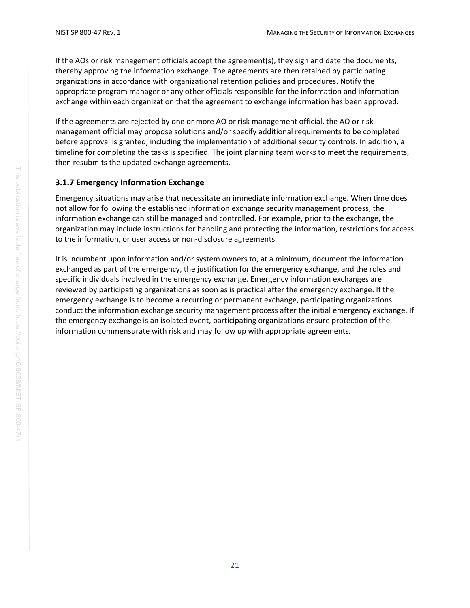If the AOs or risk management officials accept the agreement(s), they sign and date the documents, thereby approving the information exchange. The agreements are then retained by participating organizations in accordance with organizational retention policies and procedures. Notify the appropriate program manager or any other officials responsible for the information and information exchange within each organization that the agreement to exchange information has been approved.

If the agreements are rejected by one or more AO or risk management official, the AO or risk management official may propose solutions and/or specify additional requirements to be completed before approval is granted, including the implementation of additional security controls. In addition, a timeline for completing the tasks is specified. The joint planning team works to meet the requirements, then resubmits the updated exchange agreements.

#### <span id="page-29-0"></span>**3.1.7 Emergency Information Exchange**

Emergency situations may arise that necessitate an immediate information exchange. When time does not allow for following the established information exchange security management process, the information exchange can still be managed and controlled. For example, prior to the exchange, the organization may include instructions for handling and protecting the information, restrictions for access to the information, or user access or non-disclosure agreements.

It is incumbent upon information and/or system owners to, at a minimum, document the information exchanged as part of the emergency, the justification for the emergency exchange, and the roles and specific individuals involved in the emergency exchange. Emergency information exchanges are reviewed by participating organizations as soon as is practical after the emergency exchange. If the emergency exchange is to become a recurring or permanent exchange, participating organizations conduct the information exchange security management process after the initial emergency exchange. If the emergency exchange is an isolated event, participating organizations ensure protection of the information commensurate with risk and may follow up with appropriate agreements.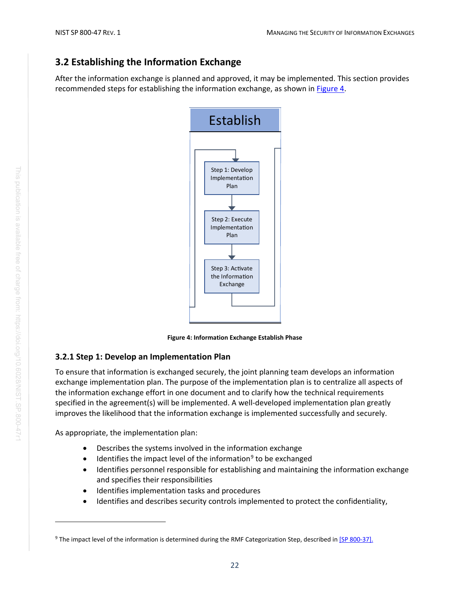## <span id="page-30-0"></span>**3.2 Establishing the Information Exchange**

After the information exchange is planned and approved, it may be implemented. This section provides recommended steps for establishing the information exchange, as shown i[n Figure 4.](#page-30-2)



**Figure 4: Information Exchange Establish Phase**

## <span id="page-30-2"></span><span id="page-30-1"></span>**3.2.1 Step 1: Develop an Implementation Plan**

To ensure that information is exchanged securely, the joint planning team develops an information exchange implementation plan. The purpose of the implementation plan is to centralize all aspects of the information exchange effort in one document and to clarify how the technical requirements specified in the agreement(s) will be implemented. A well-developed implementation plan greatly improves the likelihood that the information exchange is implemented successfully and securely.

As appropriate, the implementation plan:

- Describes the systems involved in the information exchange
- $\bullet$  Identifies the impact level of the information<sup>[9](#page-30-3)</sup> to be exchanged
- Identifies personnel responsible for establishing and maintaining the information exchange and specifies their responsibilities
- Identifies implementation tasks and procedures
- Identifies and describes security controls implemented to protect the confidentiality,

<span id="page-30-3"></span><sup>&</sup>lt;sup>9</sup> The impact level of the information is determined during the RMF Categorization Step, described i[n \[SP 800-37\].](#page-41-0)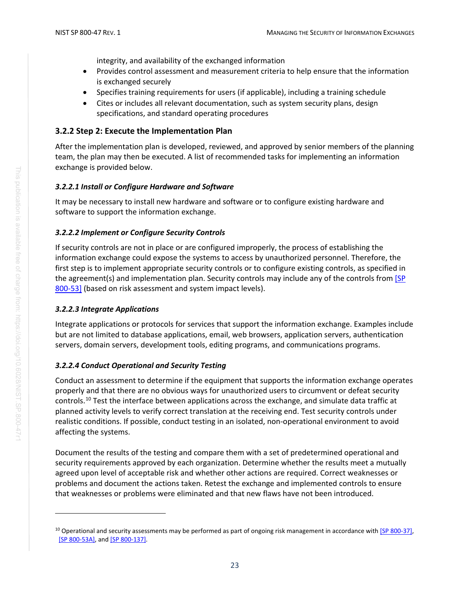integrity, and availability of the exchanged information

- Provides control assessment and measurement criteria to help ensure that the information is exchanged securely
- Specifies training requirements for users (if applicable), including a training schedule
- Cites or includes all relevant documentation, such as system security plans, design specifications, and standard operating procedures

#### <span id="page-31-0"></span>**3.2.2 Step 2: Execute the Implementation Plan**

After the implementation plan is developed, reviewed, and approved by senior members of the planning team, the plan may then be executed. A list of recommended tasks for implementing an information exchange is provided below.

#### *3.2.2.1 Install or Configure Hardware and Software*

It may be necessary to install new hardware and software or to configure existing hardware and software to support the information exchange.

#### *3.2.2.2 Implement or Configure Security Controls*

If security controls are not in place or are configured improperly, the process of establishing the information exchange could expose the systems to access by unauthorized personnel. Therefore, the first step is to implement appropriate security controls or to configure existing controls, as specified in the agreement(s) and implementation plan. Security controls may include any of the controls from [SP [800-53\]](#page-41-2) (based on risk assessment and system impact levels).

#### *3.2.2.3 Integrate Applications*

Integrate applications or protocols for services that support the information exchange. Examples include but are not limited to database applications, email, web browsers, application servers, authentication servers, domain servers, development tools, editing programs, and communications programs.

#### *3.2.2.4 Conduct Operational and Security Testing*

Conduct an assessment to determine if the equipment that supports the information exchange operates properly and that there are no obvious ways for unauthorized users to circumvent or defeat security controls. [10](#page-31-1) Test the interface between applications across the exchange, and simulate data traffic at planned activity levels to verify correct translation at the receiving end. Test security controls under realistic conditions. If possible, conduct testing in an isolated, non-operational environment to avoid affecting the systems.

Document the results of the testing and compare them with a set of predetermined operational and security requirements approved by each organization. Determine whether the results meet a mutually agreed upon level of acceptable risk and whether other actions are required. Correct weaknesses or problems and document the actions taken. Retest the exchange and implemented controls to ensure that weaknesses or problems were eliminated and that new flaws have not been introduced.

<span id="page-31-1"></span> $10$  Operational and security assessments may be performed as part of ongoing risk management in accordance wit[h \[SP 800-37\],](#page-41-0) [\[SP 800-53A\],](#page-41-6) an[d \[SP 800-137\].](#page-43-2)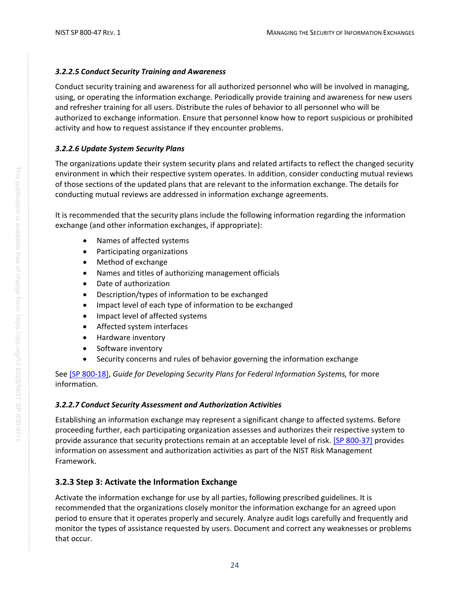#### *3.2.2.5 Conduct Security Training and Awareness*

Conduct security training and awareness for all authorized personnel who will be involved in managing, using, or operating the information exchange. Periodically provide training and awareness for new users and refresher training for all users. Distribute the rules of behavior to all personnel who will be authorized to exchange information. Ensure that personnel know how to report suspicious or prohibited activity and how to request assistance if they encounter problems.

#### *3.2.2.6 Update System Security Plans*

The organizations update their system security plans and related artifacts to reflect the changed security environment in which their respective system operates. In addition, consider conducting mutual reviews of those sections of the updated plans that are relevant to the information exchange. The details for conducting mutual reviews are addressed in information exchange agreements.

It is recommended that the security plans include the following information regarding the information exchange (and other information exchanges, if appropriate):

- Names of affected systems
- Participating organizations
- Method of exchange
- Names and titles of authorizing management officials
- Date of authorization
- Description/types of information to be exchanged
- Impact level of each type of information to be exchanged
- Impact level of affected systems
- Affected system interfaces
- Hardware inventory
- Software inventory
- Security concerns and rules of behavior governing the information exchange

See [SP [800-18\],](#page-40-6) *Guide for Developing Security Plans for Federal Information Systems,* for more information.

#### *3.2.2.7 Conduct Security Assessment and Authorization Activities*

Establishing an information exchange may represent a significant change to affected systems. Before proceeding further, each participating organization assesses and authorizes their respective system to provide assurance that security protections remain at an acceptable level of risk. [\[SP 800-37\]](#page-41-0) provides information on assessment and authorization activities as part of the NIST Risk Management Framework.

#### <span id="page-32-0"></span>**3.2.3 Step 3: Activate the Information Exchange**

Activate the information exchange for use by all parties, following prescribed guidelines. It is recommended that the organizations closely monitor the information exchange for an agreed upon period to ensure that it operates properly and securely. Analyze audit logs carefully and frequently and monitor the types of assistance requested by users. Document and correct any weaknesses or problems that occur.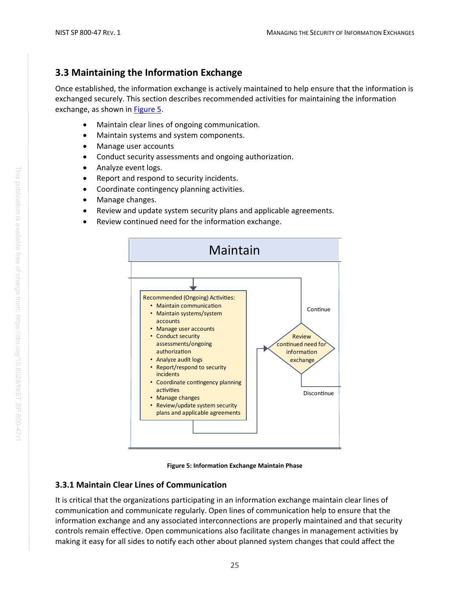## <span id="page-33-0"></span>**3.3 Maintaining the Information Exchange**

Once established, the information exchange is actively maintained to help ensure that the information is exchanged securely. This section describes recommended activities for maintaining the information exchange, as shown in [Figure 5.](#page-33-2)

- Maintain clear lines of ongoing communication.
- Maintain systems and system components.
- Manage user accounts
- Conduct security assessments and ongoing authorization.
- Analyze event logs.
- Report and respond to security incidents.
- Coordinate contingency planning activities.
- Manage changes.
- Review and update system security plans and applicable agreements.
- Review continued need for the information exchange.



**Figure 5: Information Exchange Maintain Phase**

## <span id="page-33-2"></span><span id="page-33-1"></span>**3.3.1 Maintain Clear Lines of Communication**

It is critical that the organizations participating in an information exchange maintain clear lines of communication and communicate regularly. Open lines of communication help to ensure that the information exchange and any associated interconnections are properly maintained and that security controls remain effective. Open communications also facilitate changes in management activities by making it easy for all sides to notify each other about planned system changes that could affect the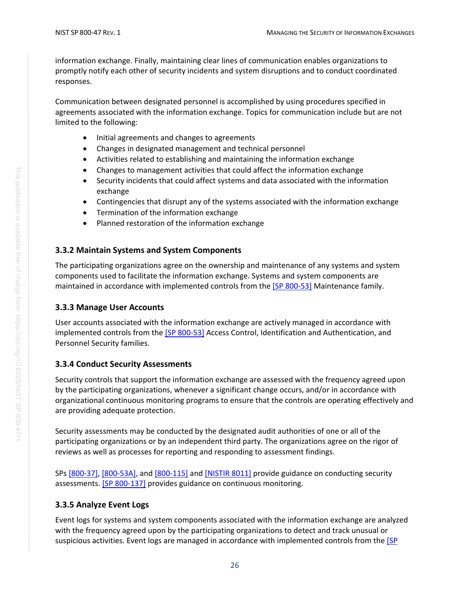information exchange. Finally, maintaining clear lines of communication enables organizations to promptly notify each other of security incidents and system disruptions and to conduct coordinated responses.

Communication between designated personnel is accomplished by using procedures specified in agreements associated with the information exchange. Topics for communication include but are not limited to the following:

- Initial agreements and changes to agreements
- Changes in designated management and technical personnel
- Activities related to establishing and maintaining the information exchange
- Changes to management activities that could affect the information exchange
- Security incidents that could affect systems and data associated with the information exchange
- Contingencies that disrupt any of the systems associated with the information exchange
- Termination of the information exchange
- Planned restoration of the information exchange

#### <span id="page-34-0"></span>**3.3.2 Maintain Systems and System Components**

The participating organizations agree on the ownership and maintenance of any systems and system components used to facilitate the information exchange. Systems and system components are maintained in accordance with implemented controls from the [\[SP 800-53\]](#page-41-2) Maintenance family.

#### <span id="page-34-1"></span>**3.3.3 Manage User Accounts**

User accounts associated with the information exchange are actively managed in accordance with implemented controls from the [\[SP 800-53\]](#page-41-2) Access Control, Identification and Authentication, and Personnel Security families.

#### <span id="page-34-2"></span>**3.3.4 Conduct Security Assessments**

Security controls that support the information exchange are assessed with the frequency agreed upon by the participating organizations, whenever a significant change occurs, and/or in accordance with organizational continuous monitoring programs to ensure that the controls are operating effectively and are providing adequate protection.

Security assessments may be conducted by the designated audit authorities of one or all of the participating organizations or by an independent third party. The organizations agree on the rigor of reviews as well as processes for reporting and responding to assessment findings.

SPs [\[800-37\],](#page-41-0) [\[800-53A\],](#page-41-6) an[d \[800-115\]](#page-42-5) and [\[NISTIR 8011\]](#page-43-3) provide guidance on conducting security assessments. **[\[SP 800-137\]](#page-43-2)** provides guidance on continuous monitoring.

#### <span id="page-34-3"></span>**3.3.5 Analyze Event Logs**

Event logs for systems and system components associated with the information exchange are analyzed with the frequency agreed upon by the participating organizations to detect and track unusual or suspicious activities. Event logs are managed in accordance with implemented controls from the [SP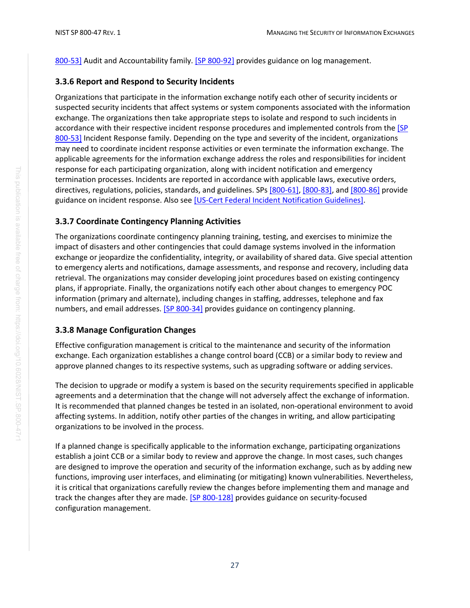[800-53\]](#page-41-2) Audit and Accountability family. [\[SP 800-92\]](#page-42-6) provides guidance on log management.

#### <span id="page-35-0"></span>**3.3.6 Report and Respond to Security Incidents**

Organizations that participate in the information exchange notify each other of security incidents or suspected security incidents that affect systems or system components associated with the information exchange. The organizations then take appropriate steps to isolate and respond to such incidents in accordance with their respective incident response procedures and implemented controls from the [SP [800-53\]](#page-41-2) Incident Response family. Depending on the type and severity of the incident, organizations may need to coordinate incident response activities or even terminate the information exchange. The applicable agreements for the information exchange address the roles and responsibilities for incident response for each participating organization, along with incident notification and emergency termination processes. Incidents are reported in accordance with applicable laws, executive orders, directives, regulations, policies, standards, and guidelines. SPs [\[800-61\],](#page-42-2) [\[800-83\],](#page-42-3) and [\[800-86\]](#page-42-4) provide guidance on incident response. Also see [\[US-Cert Federal Incident Notification Guidelines\].](#page-44-3)

#### <span id="page-35-1"></span>**3.3.7 Coordinate Contingency Planning Activities**

The organizations coordinate contingency planning training, testing, and exercises to minimize the impact of disasters and other contingencies that could damage systems involved in the information exchange or jeopardize the confidentiality, integrity, or availability of shared data. Give special attention to emergency alerts and notifications, damage assessments, and response and recovery, including data retrieval. The organizations may consider developing joint procedures based on existing contingency plans, if appropriate. Finally, the organizations notify each other about changes to emergency POC information (primary and alternate), including changes in staffing, addresses, telephone and fax numbers, and email addresses. [\[SP 800-34\]](#page-40-5) provides guidance on contingency planning.

#### <span id="page-35-2"></span>**3.3.8 Manage Configuration Changes**

Effective configuration management is critical to the maintenance and security of the information exchange. Each organization establishes a change control board (CCB) or a similar body to review and approve planned changes to its respective systems, such as upgrading software or adding services.

The decision to upgrade or modify a system is based on the security requirements specified in applicable agreements and a determination that the change will not adversely affect the exchange of information. It is recommended that planned changes be tested in an isolated, non-operational environment to avoid affecting systems. In addition, notify other parties of the changes in writing, and allow participating organizations to be involved in the process.

If a planned change is specifically applicable to the information exchange, participating organizations establish a joint CCB or a similar body to review and approve the change. In most cases, such changes are designed to improve the operation and security of the information exchange, such as by adding new functions, improving user interfaces, and eliminating (or mitigating) known vulnerabilities. Nevertheless, it is critical that organizations carefully review the changes before implementing them and manage and track the changes after they are made. [\[SP 800-128\]](#page-43-0) provides guidance on security-focused configuration management.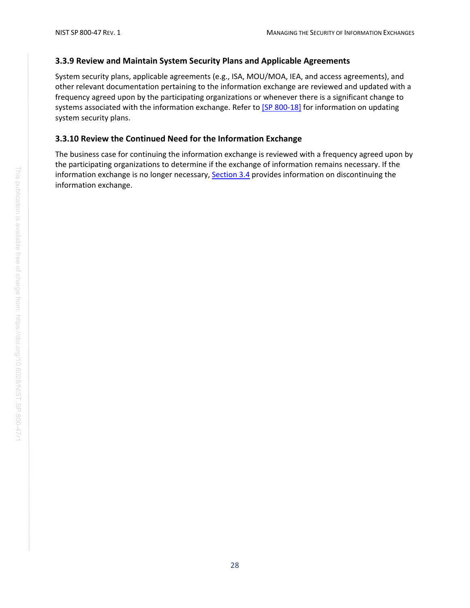#### <span id="page-36-0"></span>**3.3.9 Review and Maintain System Security Plans and Applicable Agreements**

System security plans, applicable agreements (e.g., ISA, MOU/MOA, IEA, and access agreements), and other relevant documentation pertaining to the information exchange are reviewed and updated with a frequency agreed upon by the participating organizations or whenever there is a significant change to systems associated with the information exchange. Refer to [\[SP 800-18\]](#page-40-6) for information on updating system security plans.

#### <span id="page-36-1"></span>**3.3.10 Review the Continued Need for the Information Exchange**

The business case for continuing the information exchange is reviewed with a frequency agreed upon by the participating organizations to determine if the exchange of information remains necessary. If the information exchange is no longer necessary, [Section 3.4](#page-37-0) provides information on discontinuing the information exchange.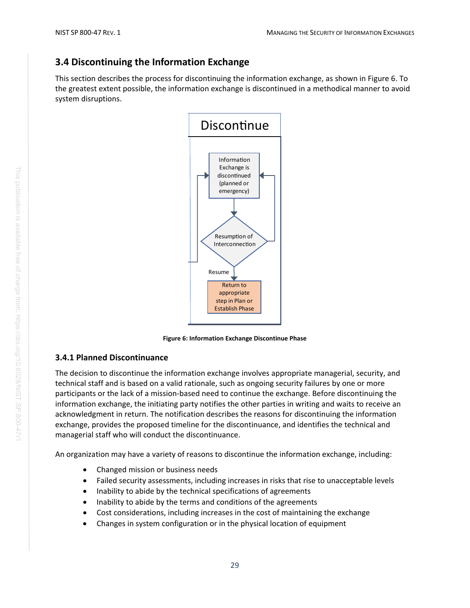## <span id="page-37-0"></span>**3.4 Discontinuing the Information Exchange**

This section describes the process for discontinuing the information exchange, as shown in Figure 6. To the greatest extent possible, the information exchange is discontinued in a methodical manner to avoid system disruptions.



**Figure 6: Information Exchange Discontinue Phase**

## <span id="page-37-2"></span><span id="page-37-1"></span>**3.4.1 Planned Discontinuance**

The decision to discontinue the information exchange involves appropriate managerial, security, and technical staff and is based on a valid rationale, such as ongoing security failures by one or more participants or the lack of a mission-based need to continue the exchange. Before discontinuing the information exchange, the initiating party notifies the other parties in writing and waits to receive an acknowledgment in return. The notification describes the reasons for discontinuing the information exchange, provides the proposed timeline for the discontinuance, and identifies the technical and managerial staff who will conduct the discontinuance.

An organization may have a variety of reasons to discontinue the information exchange, including:

- Changed mission or business needs
- Failed security assessments, including increases in risks that rise to unacceptable levels
- Inability to abide by the technical specifications of agreements
- Inability to abide by the terms and conditions of the agreements
- Cost considerations, including increases in the cost of maintaining the exchange
- Changes in system configuration or in the physical location of equipment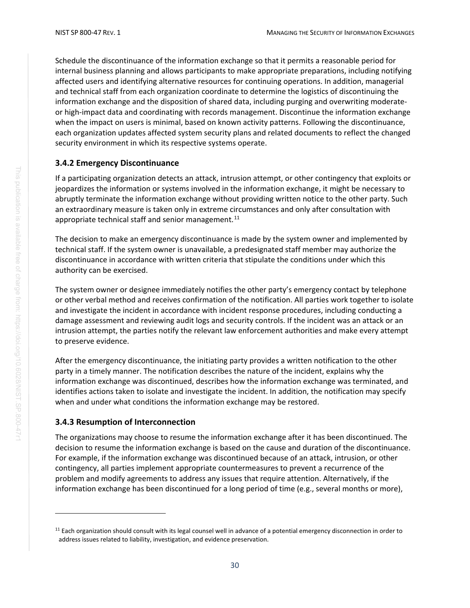Schedule the discontinuance of the information exchange so that it permits a reasonable period for internal business planning and allows participants to make appropriate preparations, including notifying affected users and identifying alternative resources for continuing operations. In addition, managerial and technical staff from each organization coordinate to determine the logistics of discontinuing the information exchange and the disposition of shared data, including purging and overwriting moderateor high-impact data and coordinating with records management. Discontinue the information exchange when the impact on users is minimal, based on known activity patterns. Following the discontinuance, each organization updates affected system security plans and related documents to reflect the changed security environment in which its respective systems operate.

#### <span id="page-38-0"></span>**3.4.2 Emergency Discontinuance**

If a participating organization detects an attack, intrusion attempt, or other contingency that exploits or jeopardizes the information or systems involved in the information exchange, it might be necessary to abruptly terminate the information exchange without providing written notice to the other party. Such an extraordinary measure is taken only in extreme circumstances and only after consultation with appropriate technical staff and senior management.<sup>[11](#page-38-2)</sup>

The decision to make an emergency discontinuance is made by the system owner and implemented by technical staff. If the system owner is unavailable, a predesignated staff member may authorize the discontinuance in accordance with written criteria that stipulate the conditions under which this authority can be exercised.

The system owner or designee immediately notifies the other party's emergency contact by telephone or other verbal method and receives confirmation of the notification. All parties work together to isolate and investigate the incident in accordance with incident response procedures, including conducting a damage assessment and reviewing audit logs and security controls. If the incident was an attack or an intrusion attempt, the parties notify the relevant law enforcement authorities and make every attempt to preserve evidence.

After the emergency discontinuance, the initiating party provides a written notification to the other party in a timely manner. The notification describes the nature of the incident, explains why the information exchange was discontinued, describes how the information exchange was terminated, and identifies actions taken to isolate and investigate the incident. In addition, the notification may specify when and under what conditions the information exchange may be restored.

#### <span id="page-38-1"></span>**3.4.3 Resumption of Interconnection**

The organizations may choose to resume the information exchange after it has been discontinued. The decision to resume the information exchange is based on the cause and duration of the discontinuance. For example, if the information exchange was discontinued because of an attack, intrusion, or other contingency, all parties implement appropriate countermeasures to prevent a recurrence of the problem and modify agreements to address any issues that require attention. Alternatively, if the information exchange has been discontinued for a long period of time (e.g., several months or more),

<span id="page-38-2"></span> $11$  Each organization should consult with its legal counsel well in advance of a potential emergency disconnection in order to address issues related to liability, investigation, and evidence preservation.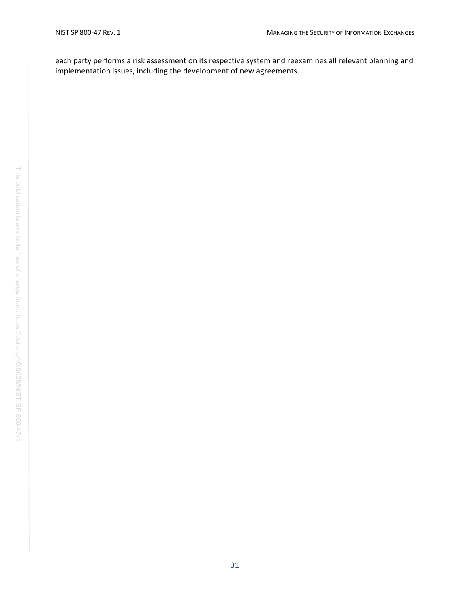each party performs a risk assessment on its respective system and reexamines all relevant planning and implementation issues, including the development of new agreements.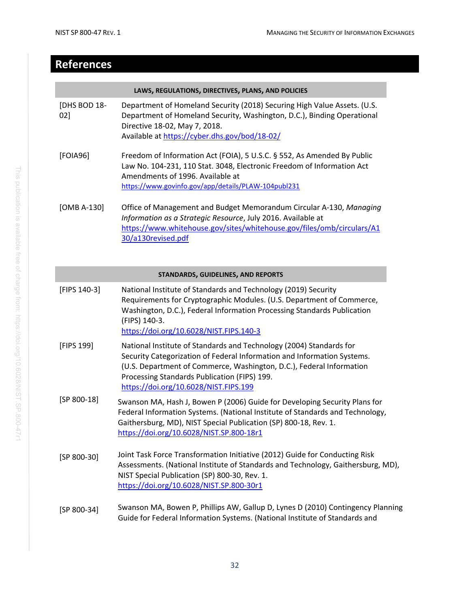## <span id="page-40-1"></span>**References**

<span id="page-40-4"></span><span id="page-40-0"></span>

|                                    | LAWS, REGULATIONS, DIRECTIVES, PLANS, AND POLICIES                                                                                                                                                                                                                                                              |  |
|------------------------------------|-----------------------------------------------------------------------------------------------------------------------------------------------------------------------------------------------------------------------------------------------------------------------------------------------------------------|--|
| [DHS BOD 18-<br>02]                | Department of Homeland Security (2018) Securing High Value Assets. (U.S.<br>Department of Homeland Security, Washington, D.C.), Binding Operational<br>Directive 18-02, May 7, 2018.<br>Available at https://cyber.dhs.gov/bod/18-02/                                                                           |  |
| [FOIA96]                           | Freedom of Information Act (FOIA), 5 U.S.C. § 552, As Amended By Public<br>Law No. 104-231, 110 Stat. 3048, Electronic Freedom of Information Act<br>Amendments of 1996. Available at<br>https://www.govinfo.gov/app/details/PLAW-104publ231                                                                    |  |
| [OMB A-130]                        | Office of Management and Budget Memorandum Circular A-130, Managing<br>Information as a Strategic Resource, July 2016. Available at<br>https://www.whitehouse.gov/sites/whitehouse.gov/files/omb/circulars/A1<br>30/a130revised.pdf                                                                             |  |
| STANDARDS, GUIDELINES, AND REPORTS |                                                                                                                                                                                                                                                                                                                 |  |
| [FIPS 140-3]                       | National Institute of Standards and Technology (2019) Security<br>Requirements for Cryptographic Modules. (U.S. Department of Commerce,<br>Washington, D.C.), Federal Information Processing Standards Publication<br>(FIPS) 140-3.<br>https://doi.org/10.6028/NIST.FIPS.140-3                                  |  |
| [FIPS 199]                         | National Institute of Standards and Technology (2004) Standards for<br>Security Categorization of Federal Information and Information Systems.<br>(U.S. Department of Commerce, Washington, D.C.), Federal Information<br>Processing Standards Publication (FIPS) 199.<br>https://doi.org/10.6028/NIST.FIPS.199 |  |

- <span id="page-40-6"></span><span id="page-40-3"></span>[SP 800-18] Swanson MA, Hash J, Bowen P (2006) Guide for Developing Security Plans for Federal Information Systems. (National Institute of Standards and Technology, Gaithersburg, MD), NIST Special Publication (SP) 800-18, Rev. 1. <https://doi.org/10.6028/NIST.SP.800-18r1>
- <span id="page-40-2"></span>[SP 800-30] Joint Task Force Transformation Initiative (2012) Guide for Conducting Risk Assessments. (National Institute of Standards and Technology, Gaithersburg, MD), NIST Special Publication (SP) 800-30, Rev. 1. <https://doi.org/10.6028/NIST.SP.800-30r1>

#### <span id="page-40-5"></span>[SP 800-34] Swanson MA, Bowen P, Phillips AW, Gallup D, Lynes D (2010) Contingency Planning Guide for Federal Information Systems. (National Institute of Standards and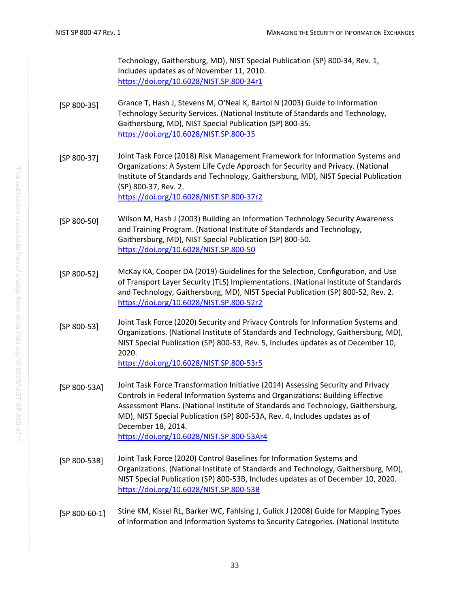Technology, Gaithersburg, MD), NIST Special Publication (SP) 800-34, Rev. 1, Includes updates as of November 11, 2010. <https://doi.org/10.6028/NIST.SP.800-34r1>

- <span id="page-41-5"></span>[SP 800-35] Grance T, Hash J, Stevens M, O'Neal K, Bartol N (2003) Guide to Information Technology Security Services. (National Institute of Standards and Technology, Gaithersburg, MD), NIST Special Publication (SP) 800-35. <https://doi.org/10.6028/NIST.SP.800-35>
- <span id="page-41-0"></span>[SP 800-37] Joint Task Force (2018) Risk Management Framework for Information Systems and Organizations: A System Life Cycle Approach for Security and Privacy. (National Institute of Standards and Technology, Gaithersburg, MD), NIST Special Publication (SP) 800-37, Rev. 2. <https://doi.org/10.6028/NIST.SP.800-37r2>
- <span id="page-41-4"></span>[SP 800-50] Wilson M, Hash J (2003) Building an Information Technology Security Awareness and Training Program. (National Institute of Standards and Technology, Gaithersburg, MD), NIST Special Publication (SP) 800-50. <https://doi.org/10.6028/NIST.SP.800-50>
- [SP 800-52] McKay KA, Cooper DA (2019) Guidelines for the Selection, Configuration, and Use of Transport Layer Security (TLS) Implementations. (National Institute of Standards and Technology, Gaithersburg, MD), NIST Special Publication (SP) 800-52, Rev. 2. <https://doi.org/10.6028/NIST.SP.800-52r2>
- <span id="page-41-2"></span>[SP 800-53] Joint Task Force (2020) Security and Privacy Controls for Information Systems and Organizations. (National Institute of Standards and Technology, Gaithersburg, MD), NIST Special Publication (SP) 800-53, Rev. 5, Includes updates as of December 10, 2020. <https://doi.org/10.6028/NIST.SP.800-53r5>
- <span id="page-41-6"></span>[SP 800-53A] Joint Task Force Transformation Initiative (2014) Assessing Security and Privacy Controls in Federal Information Systems and Organizations: Building Effective Assessment Plans. (National Institute of Standards and Technology, Gaithersburg, MD), NIST Special Publication (SP) 800-53A, Rev. 4, Includes updates as of December 18, 2014. <https://doi.org/10.6028/NIST.SP.800-53Ar4>
- <span id="page-41-3"></span>[SP 800-53B] Joint Task Force (2020) Control Baselines for Information Systems and Organizations. (National Institute of Standards and Technology, Gaithersburg, MD), NIST Special Publication (SP) 800-53B, Includes updates as of December 10, 2020. <https://doi.org/10.6028/NIST.SP.800-53B>
- <span id="page-41-1"></span>[SP 800-60-1] Stine KM, Kissel RL, Barker WC, Fahlsing J, Gulick J (2008) Guide for Mapping Types of Information and Information Systems to Security Categories. (National Institute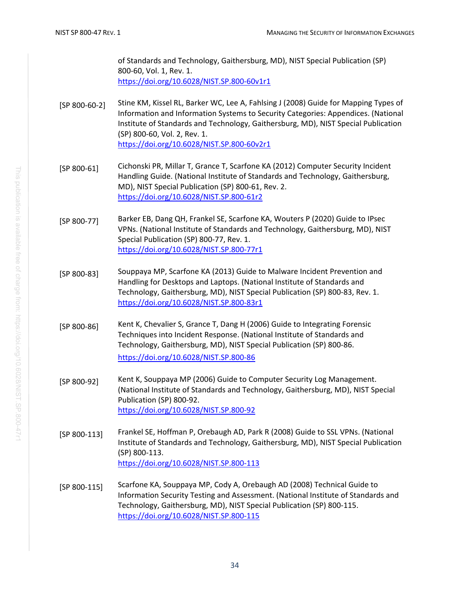of Standards and Technology, Gaithersburg, MD), NIST Special Publication (SP) 800-60, Vol. 1, Rev. 1. <https://doi.org/10.6028/NIST.SP.800-60v1r1>

- [SP 800-60-2] Stine KM, Kissel RL, Barker WC, Lee A, Fahlsing J (2008) Guide for Mapping Types of Information and Information Systems to Security Categories: Appendices. (National Institute of Standards and Technology, Gaithersburg, MD), NIST Special Publication (SP) 800-60, Vol. 2, Rev. 1. <https://doi.org/10.6028/NIST.SP.800-60v2r1>
- <span id="page-42-2"></span>[SP 800-61] Cichonski PR, Millar T, Grance T, Scarfone KA (2012) Computer Security Incident Handling Guide. (National Institute of Standards and Technology, Gaithersburg, MD), NIST Special Publication (SP) 800-61, Rev. 2. <https://doi.org/10.6028/NIST.SP.800-61r2>
- <span id="page-42-0"></span>[SP 800-77] Barker EB, Dang QH, Frankel SE, Scarfone KA, Wouters P (2020) Guide to IPsec VPNs. (National Institute of Standards and Technology, Gaithersburg, MD), NIST Special Publication (SP) 800-77, Rev. 1. <https://doi.org/10.6028/NIST.SP.800-77r1>
- <span id="page-42-3"></span>[SP 800-83] Souppaya MP, Scarfone KA (2013) Guide to Malware Incident Prevention and Handling for Desktops and Laptops. (National Institute of Standards and Technology, Gaithersburg, MD), NIST Special Publication (SP) 800-83, Rev. 1. <https://doi.org/10.6028/NIST.SP.800-83r1>
- <span id="page-42-4"></span>[SP 800-86] Kent K, Chevalier S, Grance T, Dang H (2006) Guide to Integrating Forensic Techniques into Incident Response. (National Institute of Standards and Technology, Gaithersburg, MD), NIST Special Publication (SP) 800-86. <https://doi.org/10.6028/NIST.SP.800-86>
- <span id="page-42-6"></span>[SP 800-92] Kent K, Souppaya MP (2006) Guide to Computer Security Log Management. (National Institute of Standards and Technology, Gaithersburg, MD), NIST Special Publication (SP) 800-92. <https://doi.org/10.6028/NIST.SP.800-92>
- <span id="page-42-1"></span>[SP 800-113] Frankel SE, Hoffman P, Orebaugh AD, Park R (2008) Guide to SSL VPNs. (National Institute of Standards and Technology, Gaithersburg, MD), NIST Special Publication (SP) 800-113. <https://doi.org/10.6028/NIST.SP.800-113>
- <span id="page-42-5"></span>[SP 800-115] Scarfone KA, Souppaya MP, Cody A, Orebaugh AD (2008) Technical Guide to Information Security Testing and Assessment. (National Institute of Standards and Technology, Gaithersburg, MD), NIST Special Publication (SP) 800-115. <https://doi.org/10.6028/NIST.SP.800-115>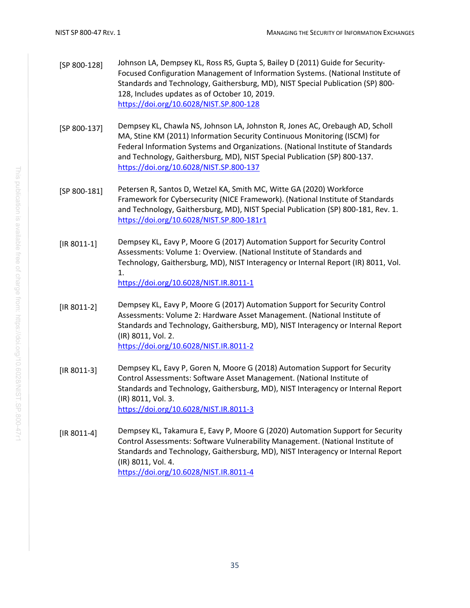- <span id="page-43-0"></span>[SP 800-128] Johnson LA, Dempsey KL, Ross RS, Gupta S, Bailey D (2011) Guide for Security-Focused Configuration Management of Information Systems. (National Institute of Standards and Technology, Gaithersburg, MD), NIST Special Publication (SP) 800- 128, Includes updates as of October 10, 2019. <https://doi.org/10.6028/NIST.SP.800-128>
- <span id="page-43-2"></span>[SP 800-137] Dempsey KL, Chawla NS, Johnson LA, Johnston R, Jones AC, Orebaugh AD, Scholl MA, Stine KM (2011) Information Security Continuous Monitoring (ISCM) for Federal Information Systems and Organizations. (National Institute of Standards and Technology, Gaithersburg, MD), NIST Special Publication (SP) 800-137. <https://doi.org/10.6028/NIST.SP.800-137>
- <span id="page-43-1"></span>[SP 800-181] Petersen R, Santos D, Wetzel KA, Smith MC, Witte GA (2020) Workforce Framework for Cybersecurity (NICE Framework). (National Institute of Standards and Technology, Gaithersburg, MD), NIST Special Publication (SP) 800-181, Rev. 1. <https://doi.org/10.6028/NIST.SP.800-181r1>
- <span id="page-43-3"></span>[IR 8011-1] Dempsey KL, Eavy P, Moore G (2017) Automation Support for Security Control Assessments: Volume 1: Overview. (National Institute of Standards and Technology, Gaithersburg, MD), NIST Interagency or Internal Report (IR) 8011, Vol. 1. <https://doi.org/10.6028/NIST.IR.8011-1>
- [IR 8011-2] Dempsey KL, Eavy P, Moore G (2017) Automation Support for Security Control Assessments: Volume 2: Hardware Asset Management. (National Institute of Standards and Technology, Gaithersburg, MD), NIST Interagency or Internal Report (IR) 8011, Vol. 2. <https://doi.org/10.6028/NIST.IR.8011-2>
- [IR 8011-3] Dempsey KL, Eavy P, Goren N, Moore G (2018) Automation Support for Security Control Assessments: Software Asset Management. (National Institute of Standards and Technology, Gaithersburg, MD), NIST Interagency or Internal Report (IR) 8011, Vol. 3. <https://doi.org/10.6028/NIST.IR.8011-3>
- [IR 8011-4] Dempsey KL, Takamura E, Eavy P, Moore G (2020) Automation Support for Security Control Assessments: Software Vulnerability Management. (National Institute of Standards and Technology, Gaithersburg, MD), NIST Interagency or Internal Report (IR) 8011, Vol. 4. <https://doi.org/10.6028/NIST.IR.8011-4>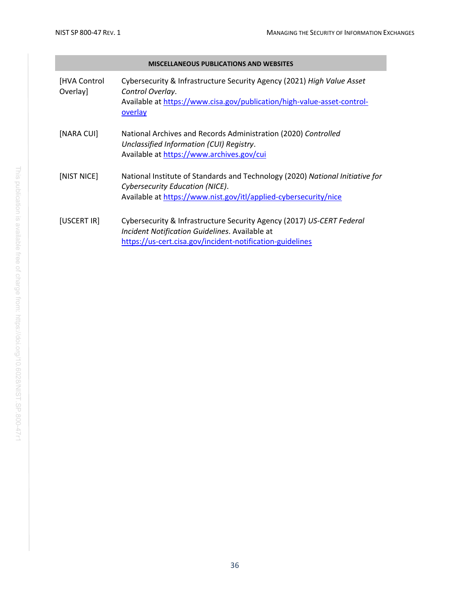<span id="page-44-4"></span><span id="page-44-3"></span><span id="page-44-2"></span><span id="page-44-1"></span><span id="page-44-0"></span>

|                           | <b>MISCELLANEOUS PUBLICATIONS AND WEBSITES</b>                                                                                                                                          |
|---------------------------|-----------------------------------------------------------------------------------------------------------------------------------------------------------------------------------------|
| [HVA Control]<br>Overlay] | Cybersecurity & Infrastructure Security Agency (2021) High Value Asset<br>Control Overlay.<br>Available at https://www.cisa.gov/publication/high-value-asset-control-<br><b>overlay</b> |
| [NARA CUI]                | National Archives and Records Administration (2020) Controlled<br>Unclassified Information (CUI) Registry.<br>Available at https://www.archives.gov/cui                                 |
| [NIST NICE]               | National Institute of Standards and Technology (2020) National Initiative for<br>Cybersecurity Education (NICE).<br>Available at https://www.nist.gov/itl/applied-cybersecurity/nice    |
| [USCERT IR]               | Cybersecurity & Infrastructure Security Agency (2017) US-CERT Federal<br>Incident Notification Guidelines. Available at<br>https://us-cert.cisa.gov/incident-notification-guidelines    |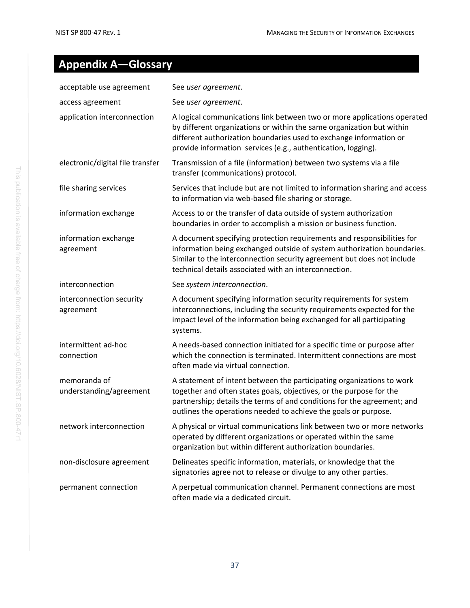## <span id="page-45-0"></span>**Appendix A—Glossary**

| acceptable use agreement                | See user agreement.                                                                                                                                                                                                                                                                        |
|-----------------------------------------|--------------------------------------------------------------------------------------------------------------------------------------------------------------------------------------------------------------------------------------------------------------------------------------------|
| access agreement                        | See user agreement.                                                                                                                                                                                                                                                                        |
| application interconnection             | A logical communications link between two or more applications operated<br>by different organizations or within the same organization but within<br>different authorization boundaries used to exchange information or<br>provide information services (e.g., authentication, logging).    |
| electronic/digital file transfer        | Transmission of a file (information) between two systems via a file<br>transfer (communications) protocol.                                                                                                                                                                                 |
| file sharing services                   | Services that include but are not limited to information sharing and access<br>to information via web-based file sharing or storage.                                                                                                                                                       |
| information exchange                    | Access to or the transfer of data outside of system authorization<br>boundaries in order to accomplish a mission or business function.                                                                                                                                                     |
| information exchange<br>agreement       | A document specifying protection requirements and responsibilities for<br>information being exchanged outside of system authorization boundaries.<br>Similar to the interconnection security agreement but does not include<br>technical details associated with an interconnection.       |
| interconnection                         | See system interconnection.                                                                                                                                                                                                                                                                |
| interconnection security<br>agreement   | A document specifying information security requirements for system<br>interconnections, including the security requirements expected for the<br>impact level of the information being exchanged for all participating<br>systems.                                                          |
| intermittent ad-hoc<br>connection       | A needs-based connection initiated for a specific time or purpose after<br>which the connection is terminated. Intermittent connections are most<br>often made via virtual connection.                                                                                                     |
| memoranda of<br>understanding/agreement | A statement of intent between the participating organizations to work<br>together and often states goals, objectives, or the purpose for the<br>partnership; details the terms of and conditions for the agreement; and<br>outlines the operations needed to achieve the goals or purpose. |
| network interconnection                 | A physical or virtual communications link between two or more networks<br>operated by different organizations or operated within the same<br>organization but within different authorization boundaries.                                                                                   |
| non-disclosure agreement                | Delineates specific information, materials, or knowledge that the<br>signatories agree not to release or divulge to any other parties.                                                                                                                                                     |
| permanent connection                    | A perpetual communication channel. Permanent connections are most                                                                                                                                                                                                                          |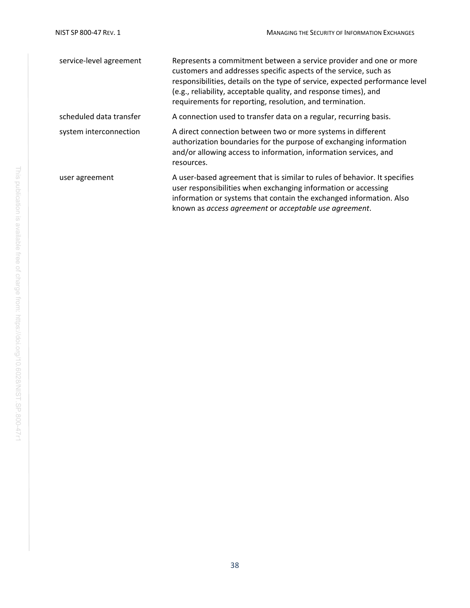| service-level agreement | Represents a commitment between a service provider and one or more<br>customers and addresses specific aspects of the service, such as<br>responsibilities, details on the type of service, expected performance level<br>(e.g., reliability, acceptable quality, and response times), and<br>requirements for reporting, resolution, and termination. |
|-------------------------|--------------------------------------------------------------------------------------------------------------------------------------------------------------------------------------------------------------------------------------------------------------------------------------------------------------------------------------------------------|
| scheduled data transfer | A connection used to transfer data on a regular, recurring basis.                                                                                                                                                                                                                                                                                      |
| system interconnection  | A direct connection between two or more systems in different<br>authorization boundaries for the purpose of exchanging information<br>and/or allowing access to information, information services, and<br>resources.                                                                                                                                   |
| user agreement          | A user-based agreement that is similar to rules of behavior. It specifies<br>user responsibilities when exchanging information or accessing<br>information or systems that contain the exchanged information. Also<br>known as access agreement or acceptable use agreement.                                                                           |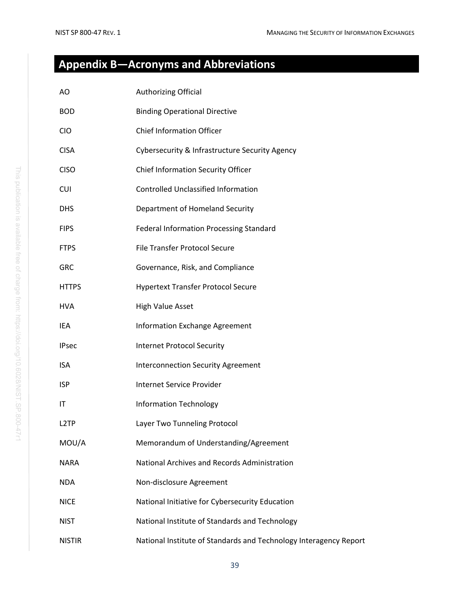## <span id="page-47-0"></span>**Appendix B—Acronyms and Abbreviations**

| AO                | Authorizing Official                                              |
|-------------------|-------------------------------------------------------------------|
| <b>BOD</b>        | <b>Binding Operational Directive</b>                              |
| <b>CIO</b>        | <b>Chief Information Officer</b>                                  |
| <b>CISA</b>       | Cybersecurity & Infrastructure Security Agency                    |
| <b>CISO</b>       | Chief Information Security Officer                                |
| <b>CUI</b>        | <b>Controlled Unclassified Information</b>                        |
| <b>DHS</b>        | Department of Homeland Security                                   |
| <b>FIPS</b>       | <b>Federal Information Processing Standard</b>                    |
| <b>FTPS</b>       | <b>File Transfer Protocol Secure</b>                              |
| <b>GRC</b>        | Governance, Risk, and Compliance                                  |
| <b>HTTPS</b>      | <b>Hypertext Transfer Protocol Secure</b>                         |
| <b>HVA</b>        | <b>High Value Asset</b>                                           |
| IEA               | Information Exchange Agreement                                    |
| <b>IPsec</b>      | <b>Internet Protocol Security</b>                                 |
| <b>ISA</b>        | <b>Interconnection Security Agreement</b>                         |
| <b>ISP</b>        | <b>Internet Service Provider</b>                                  |
| ΙT                | <b>Information Technology</b>                                     |
| L <sub>2</sub> TP | Layer Two Tunneling Protocol                                      |
| MOU/A             | Memorandum of Understanding/Agreement                             |
| <b>NARA</b>       | National Archives and Records Administration                      |
| <b>NDA</b>        | Non-disclosure Agreement                                          |
| <b>NICE</b>       | National Initiative for Cybersecurity Education                   |
| <b>NIST</b>       | National Institute of Standards and Technology                    |
| <b>NISTIR</b>     | National Institute of Standards and Technology Interagency Report |
|                   |                                                                   |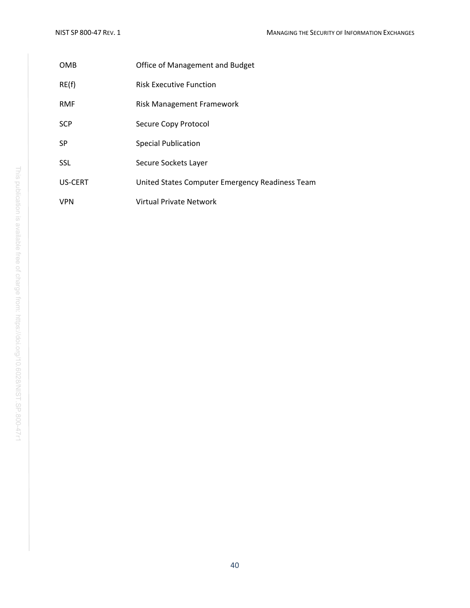| OMB            | Office of Management and Budget                 |
|----------------|-------------------------------------------------|
| RE(f)          | <b>Risk Executive Function</b>                  |
| <b>RMF</b>     | Risk Management Framework                       |
| <b>SCP</b>     | Secure Copy Protocol                            |
| <b>SP</b>      | <b>Special Publication</b>                      |
| <b>SSL</b>     | Secure Sockets Layer                            |
| <b>US-CERT</b> | United States Computer Emergency Readiness Team |
| VPN            | Virtual Private Network                         |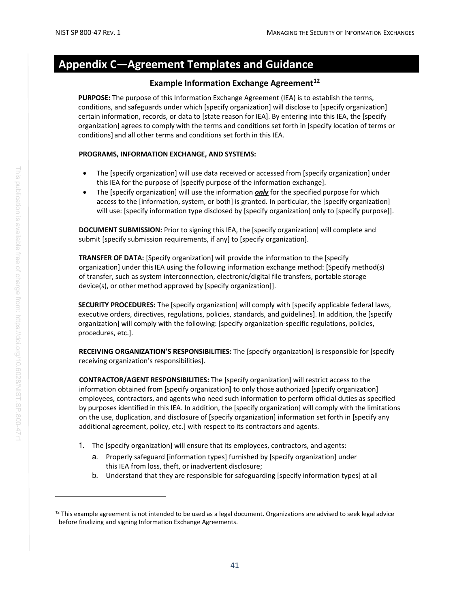## <span id="page-49-0"></span>**Appendix C—Agreement Templates and Guidance**

#### **Example Information Exchange Agreement[12](#page-49-1)**

**PURPOSE:** The purpose of this Information Exchange Agreement (IEA) is to establish the terms, conditions, and safeguards under which [specify organization] will disclose to [specify organization] certain information, records, or data to [state reason for IEA]. By entering into this IEA, the [specify organization] agrees to comply with the terms and conditions set forth in [specify location of terms or conditions] and all other terms and conditions set forth in this IEA.

#### **PROGRAMS, INFORMATION EXCHANGE, AND SYSTEMS:**

- The [specify organization] will use data received or accessed from [specify organization] under this IEA for the purpose of [specify purpose of the information exchange].
- The [specify organization] will use the information *only* for the specified purpose for which access to the [information, system, or both] is granted. In particular, the [specify organization] will use: [specify information type disclosed by [specify organization] only to [specify purpose]].

**DOCUMENT SUBMISSION:** Prior to signing this IEA, the [specify organization] will complete and submit [specify submission requirements, if any] to [specify organization].

**TRANSFER OF DATA:** [Specify organization] will provide the information to the [specify organization] under this IEA using the following information exchange method: [Specify method(s)] of transfer, such as system interconnection, electronic/digital file transfers, portable storage device(s), or other method approved by [specify organization]].

**SECURITY PROCEDURES:** The [specify organization] will comply with [specify applicable federal laws, executive orders, directives, regulations, policies, standards, and guidelines]. In addition, the [specify organization] will comply with the following: [specify organization-specific regulations, policies, procedures, etc.].

**RECEIVING ORGANIZATION'S RESPONSIBILITIES:** The [specify organization] is responsible for [specify receiving organization's responsibilities].

**CONTRACTOR/AGENT RESPONSIBILITIES:** The [specify organization] will restrict access to the information obtained from [specify organization] to only those authorized [specify organization] employees, contractors, and agents who need such information to perform official duties as specified by purposes identified in this IEA. In addition, the [specify organization] will comply with the limitations on the use, duplication, and disclosure of [specify organization] information set forth in [specify any additional agreement, policy, etc.] with respect to its contractors and agents.

- 1. The [specify organization] will ensure that its employees, contractors, and agents:
	- a. Properly safeguard [information types] furnished by [specify organization] under this IEA from loss, theft, or inadvertent disclosure;
	- b. Understand that they are responsible for safeguarding [specify information types] at all

<span id="page-49-1"></span> $12$  This example agreement is not intended to be used as a legal document. Organizations are advised to seek legal advice before finalizing and signing Information Exchange Agreements.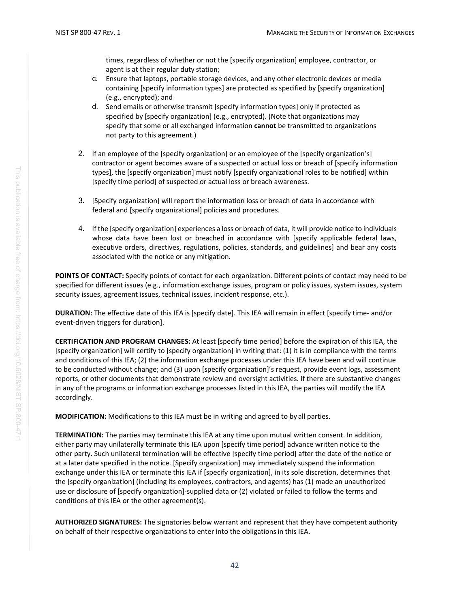times, regardless of whether or not the [specify organization] employee, contractor, or agent is at their regular duty station;

- c. Ensure that laptops, portable storage devices, and any other electronic devices or media containing [specify information types] are protected as specified by [specify organization] (e.g., encrypted); and
- d. Send emails or otherwise transmit [specify information types] only if protected as specified by [specify organization] (e.g., encrypted). (Note that organizations may specify that some or all exchanged information **cannot** be transmitted to organizations not party to this agreement.)
- 2. If an employee of the [specify organization] or an employee of the [specify organization's] contractor or agent becomes aware of a suspected or actual loss or breach of [specify information types], the [specify organization] must notify [specify organizational roles to be notified] within [specify time period] of suspected or actual loss or breach awareness.
- 3. [Specify organization] will report the information loss or breach of data in accordance with federal and [specify organizational] policies and procedures.
- 4. If the [specify organization] experiences a loss or breach of data, it will provide notice to individuals whose data have been lost or breached in accordance with [specify applicable federal laws, executive orders, directives, regulations, policies, standards, and guidelines] and bear any costs associated with the notice or any mitigation.

**POINTS OF CONTACT:** Specify points of contact for each organization. Different points of contact may need to be specified for different issues (e.g., information exchange issues, program or policy issues, system issues, system security issues, agreement issues, technical issues, incident response, etc.).

**DURATION:** The effective date of this IEA is [specify date]. This IEA will remain in effect [specify time- and/or event-driven triggers for duration].

**CERTIFICATION AND PROGRAM CHANGES:** At least [specify time period] before the expiration of this IEA, the [specify organization] will certify to [specify organization] in writing that: (1) it is in compliance with the terms and conditions of this IEA; (2) the information exchange processes under this IEA have been and will continue to be conducted without change; and (3) upon [specify organization]'s request, provide event logs, assessment reports, or other documents that demonstrate review and oversight activities. If there are substantive changes in any of the programs or information exchange processes listed in this IEA, the parties will modify the IEA accordingly.

**MODIFICATION:** Modifications to this IEA must be in writing and agreed to by all parties.

**TERMINATION:** The parties may terminate this IEA at any time upon mutual written consent. In addition, either party may unilaterally terminate this IEA upon [specify time period] advance written notice to the other party. Such unilateral termination will be effective [specify time period] after the date of the notice or at a later date specified in the notice. [Specify organization] may immediately suspend the information exchange under this IEA or terminate this IEA if [specify organization], in its sole discretion, determines that the [specify organization] (including its employees, contractors, and agents) has (1) made an unauthorized use or disclosure of [specify organization]-supplied data or (2) violated or failed to follow the terms and conditions of this IEA or the other agreement(s).

**AUTHORIZED SIGNATURES:** The signatories below warrant and represent that they have competent authority on behalf of their respective organizations to enter into the obligationsin this IEA.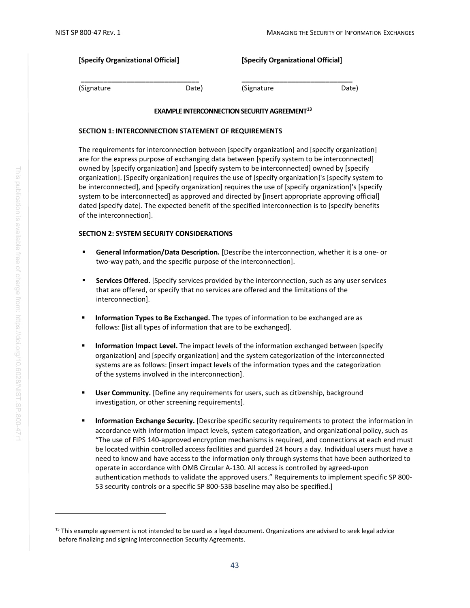| [Specify Organizational Official] |       | [Specify Organizational Official] |       |
|-----------------------------------|-------|-----------------------------------|-------|
| (Signature                        | Date) | (Signature                        | Date) |

#### **EXAMPLE INTERCONNECTION SECURITY AGREEMENT<sup>13</sup>**

#### <span id="page-51-1"></span>**SECTION 1: INTERCONNECTION STATEMENT OF REQUIREMENTS**

The requirements for interconnection between [specify organization] and [specify organization] are for the express purpose of exchanging data between [specify system to be interconnected] owned by [specify organization] and [specify system to be interconnected] owned by [specify organization]. [Specify organization] requires the use of [specify organization]'s [specify system to be interconnected], and [specify organization] requires the use of [specify organization]'s [specify system to be interconnected] as approved and directed by [insert appropriate approving official] dated [specify date]. The expected benefit of the specified interconnection is to [specify benefits of the interconnection].

#### **SECTION 2: SYSTEM SECURITY CONSIDERATIONS**

- **General Information/Data Description.** [Describe the interconnection, whether it is a one- or two-way path, and the specific purpose of the interconnection].
- **Services Offered.** [Specify services provided by the interconnection, such as any user services that are offered, or specify that no services are offered and the limitations of the interconnection].
- **Information Types to Be Exchanged.** The types of information to be exchanged are as follows: [list all types of information that are to be exchanged].
- **Information Impact Level.** The impact levels of the information exchanged between [specify] organization] and [specify organization] and the system categorization of the interconnected systems are as follows: [insert impact levels of the information types and the categorization of the systems involved in the interconnection].
- **User Community.** [Define any requirements for users, such as citizenship, background investigation, or other screening requirements].
- **Information Exchange Security.** [Describe specific security requirements to protect the information in accordance with information impact levels, system categorization, and organizational policy, such as "The use of FIPS 140-approved encryption mechanisms is required, and connections at each end must be located within controlled access facilities and guarded 24 hours a day. Individual users must have a need to know and have access to the information only through systems that have been authorized to operate in accordance with OMB Circular A-130. All access is controlled by agreed-upon authentication methods to validate the approved users." Requirements to implement specific SP 800- 53 security controls or a specific SP 800-53B baseline may also be specified.]

<span id="page-51-0"></span> $13$  This example agreement is not intended to be used as a legal document. Organizations are advised to seek legal advice before finalizing and signing Interconnection Security Agreements.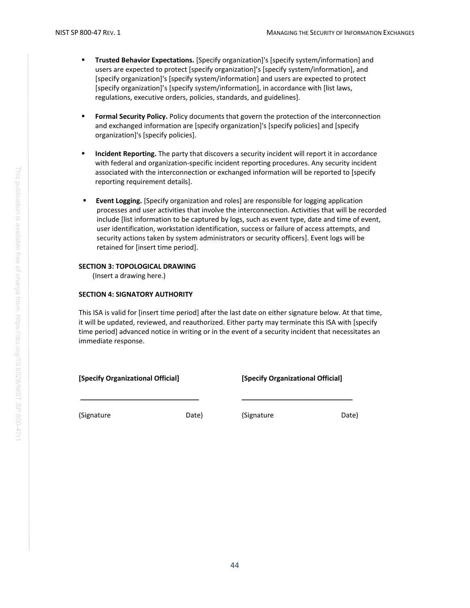- **Trusted Behavior Expectations.** [Specify organization]'s [specify system/information] and users are expected to protect [specify organization]'s [specify system/information], and [specify organization]'s [specify system/information] and users are expected to protect [specify organization]'s [specify system/information], in accordance with [list laws, regulations, executive orders, policies, standards, and guidelines].
- **Formal Security Policy.** Policy documents that govern the protection of the interconnection and exchanged information are [specify organization]'s [specify policies] and [specify organization]'s [specify policies].
- **Incident Reporting.** The party that discovers a security incident will report it in accordance with federal and organization-specific incident reporting procedures. Any security incident associated with the interconnection or exchanged information will be reported to [specify reporting requirement details].
- **Event Logging.** [Specify organization and roles] are responsible for logging application processes and user activities that involve the interconnection. Activities that will be recorded include [list information to be captured by logs, such as event type, date and time of event, user identification, workstation identification, success or failure of access attempts, and security actions taken by system administrators or security officers]. Event logs will be retained for [insert time period].

#### **SECTION 3: TOPOLOGICAL DRAWING**

(Insert a drawing here.)

#### **SECTION 4: SIGNATORY AUTHORITY**

This ISA is valid for [insert time period] after the last date on either signature below. At that time, it will be updated, reviewed, and reauthorized. Either party may terminate this ISA with [specify time period] advanced notice in writing or in the event of a security incident that necessitates an immediate response.

#### **[Specify Organizational Official] [Specify Organizational Official]**

**\_\_\_\_\_\_\_\_\_\_\_\_\_\_\_\_\_\_\_\_\_\_\_\_\_\_\_\_\_\_\_ \_\_\_\_\_\_\_\_\_\_\_\_\_\_\_\_\_\_\_\_\_\_\_\_\_\_\_\_\_**

(Signature Date) (Signature Date)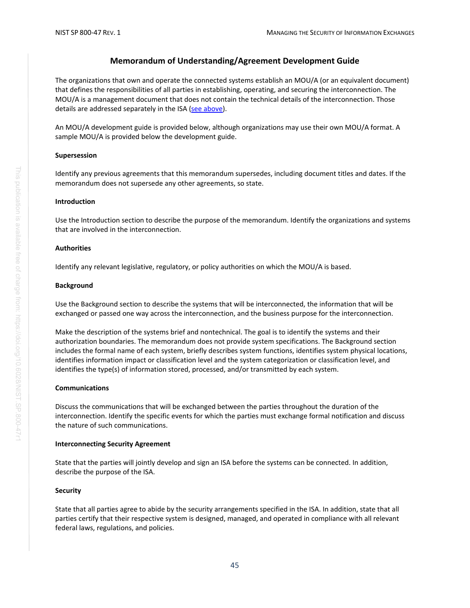#### **Memorandum of Understanding/Agreement Development Guide**

The organizations that own and operate the connected systems establish an MOU/A (or an equivalent document) that defines the responsibilities of all parties in establishing, operating, and securing the interconnection. The MOU/A is a management document that does not contain the technical details of the interconnection. Those details are addressed separately in the ISA [\(see above\)](#page-51-1).

An MOU/A development guide is provided below, although organizations may use their own MOU/A format. A sample MOU/A is provided below the development guide.

#### **Supersession**

Identify any previous agreements that this memorandum supersedes, including document titles and dates. If the memorandum does not supersede any other agreements, so state.

#### **Introduction**

Use the Introduction section to describe the purpose of the memorandum. Identify the organizations and systems that are involved in the interconnection.

#### **Authorities**

Identify any relevant legislative, regulatory, or policy authorities on which the MOU/A is based.

#### **Background**

Use the Background section to describe the systems that will be interconnected, the information that will be exchanged or passed one way across the interconnection, and the business purpose for the interconnection.

Make the description of the systems brief and nontechnical. The goal is to identify the systems and their authorization boundaries. The memorandum does not provide system specifications. The Background section includes the formal name of each system, briefly describes system functions, identifies system physical locations, identifies information impact or classification level and the system categorization or classification level, and identifies the type(s) of information stored, processed, and/or transmitted by each system.

#### **Communications**

Discuss the communications that will be exchanged between the parties throughout the duration of the interconnection. Identify the specific events for which the parties must exchange formal notification and discuss the nature of such communications.

#### **Interconnecting Security Agreement**

State that the parties will jointly develop and sign an ISA before the systems can be connected. In addition, describe the purpose of the ISA.

#### **Security**

State that all parties agree to abide by the security arrangements specified in the ISA. In addition, state that all parties certify that their respective system is designed, managed, and operated in compliance with all relevant federal laws, regulations, and policies.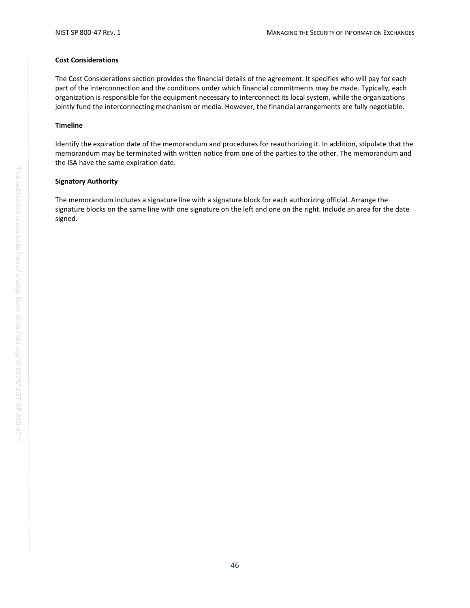#### **Cost Considerations**

The Cost Considerations section provides the financial details of the agreement. It specifies who will pay for each part of the interconnection and the conditions under which financial commitments may be made. Typically, each organization is responsible for the equipment necessary to interconnect its local system, while the organizations jointly fund the interconnecting mechanism or media. However, the financial arrangements are fully negotiable.

#### **Timeline**

Identify the expiration date of the memorandum and procedures for reauthorizing it. In addition, stipulate that the memorandum may be terminated with written notice from one of the parties to the other. The memorandum and the ISA have the same expiration date.

#### **Signatory Authority**

The memorandum includes a signature line with a signature block for each authorizing official. Arrange the signature blocks on the same line with one signature on the left and one on the right. Include an area for the date signed.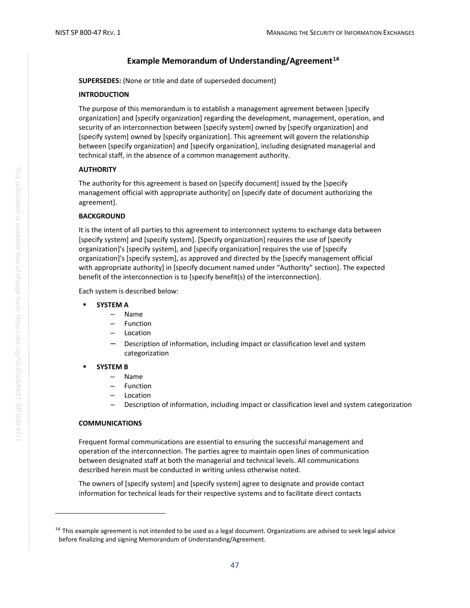#### **Example Memorandum of Understanding/Agreement[14](#page-55-0)**

**SUPERSEDES:** (None or title and date of superseded document)

#### **INTRODUCTION**

The purpose of this memorandum is to establish a management agreement between [specify organization] and [specify organization] regarding the development, management, operation, and security of an interconnection between [specify system] owned by [specify organization] and [specify system] owned by [specify organization]. This agreement will govern the relationship between [specify organization] and [specify organization], including designated managerial and technical staff, in the absence of a common management authority.

#### **AUTHORITY**

The authority for this agreement is based on [specify document] issued by the [specify management official with appropriate authority] on [specify date of document authorizing the agreement].

#### **BACKGROUND**

It is the intent of all parties to this agreement to interconnect systems to exchange data between [specify system] and [specify system]. [Specify organization] requires the use of [specify organization]'s [specify system], and [specify organization] requires the use of [specify organization]'s [specify system], as approved and directed by the [specify management official with appropriate authority] in [specify document named under "Authority" section]. The expected benefit of the interconnection is to [specify benefit(s) of the interconnection].

Each system is described below:

- **SYSTEM A**
	- Name
	- Function
	- Location
	- Description of information, including impact or classification level and system categorization
- **SYSTEM B**
	- Name
	- Function
	- Location
	- Description of information, including impact or classification level and system categorization

#### **COMMUNICATIONS**

Frequent formal communications are essential to ensuring the successful management and operation of the interconnection. The parties agree to maintain open lines of communication between designated staff at both the managerial and technical levels. All communications described herein must be conducted in writing unless otherwise noted.

The owners of [specify system] and [specify system] agree to designate and provide contact information for technical leads for their respective systems and to facilitate direct contacts

<span id="page-55-0"></span><sup>&</sup>lt;sup>14</sup> This example agreement is not intended to be used as a legal document. Organizations are advised to seek legal advice before finalizing and signing Memorandum of Understanding/Agreement.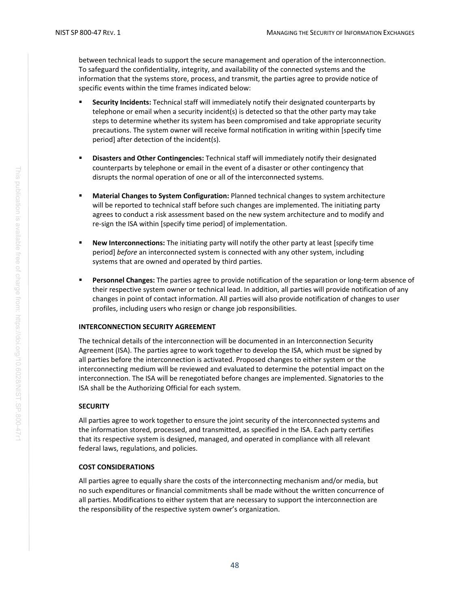between technical leads to support the secure management and operation of the interconnection. To safeguard the confidentiality, integrity, and availability of the connected systems and the information that the systems store, process, and transmit, the parties agree to provide notice of specific events within the time frames indicated below:

- **Security Incidents:** Technical staff will immediately notify their designated counterparts by telephone or email when a security incident(s) is detected so that the other party may take steps to determine whether its system has been compromised and take appropriate security precautions. The system owner will receive formal notification in writing within [specify time period] after detection of the incident(s).
- **Disasters and Other Contingencies:** Technical staff will immediately notify their designated counterparts by telephone or email in the event of a disaster or other contingency that disrupts the normal operation of one or all of the interconnected systems.
- **Material Changes to System Configuration: Planned technical changes to system architecture** will be reported to technical staff before such changes are implemented. The initiating party agrees to conduct a risk assessment based on the new system architecture and to modify and re-sign the ISA within [specify time period] of implementation.
- **New Interconnections:** The initiating party will notify the other party at least [specify time period] *before* an interconnected system is connected with any other system, including systems that are owned and operated by third parties.
- **Personnel Changes:** The parties agree to provide notification of the separation or long-term absence of their respective system owner or technical lead. In addition, all parties will provide notification of any changes in point of contact information. All parties will also provide notification of changes to user profiles, including users who resign or change job responsibilities.

#### **INTERCONNECTION SECURITY AGREEMENT**

The technical details of the interconnection will be documented in an Interconnection Security Agreement (ISA). The parties agree to work together to develop the ISA, which must be signed by all parties before the interconnection is activated. Proposed changes to either system or the interconnecting medium will be reviewed and evaluated to determine the potential impact on the interconnection. The ISA will be renegotiated before changes are implemented. Signatories to the ISA shall be the Authorizing Official for each system.

#### **SECURITY**

All parties agree to work together to ensure the joint security of the interconnected systems and the information stored, processed, and transmitted, as specified in the ISA. Each party certifies that its respective system is designed, managed, and operated in compliance with all relevant federal laws, regulations, and policies.

#### **COST CONSIDERATIONS**

All parties agree to equally share the costs of the interconnecting mechanism and/or media, but no such expenditures or financial commitments shall be made without the written concurrence of all parties. Modifications to either system that are necessary to support the interconnection are the responsibility of the respective system owner's organization.